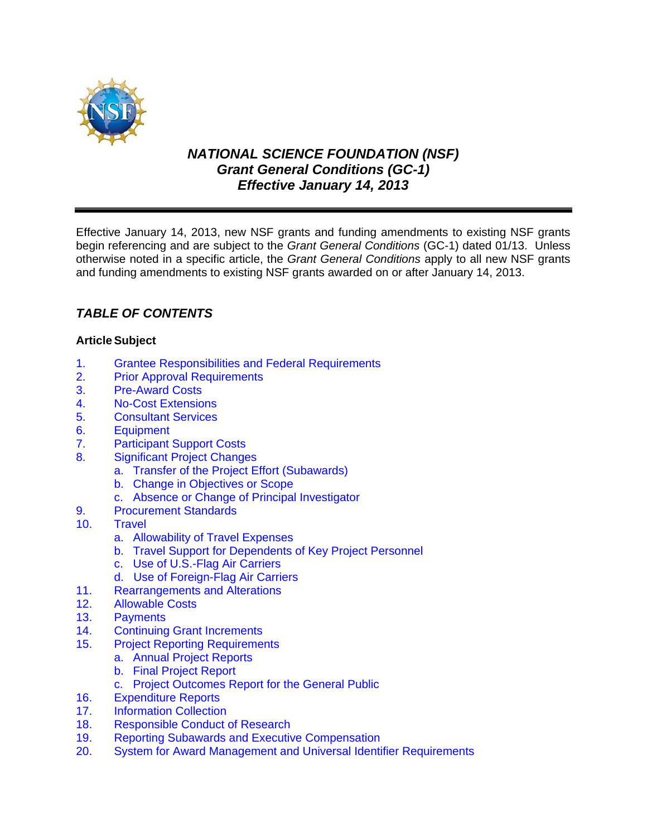

# *NATIONAL SCIENCE FOUNDATION (NSF) Grant General Conditions (GC-1) Effective January 14, 2013*

Effective January 14, 2013, new NSF grants and funding amendments to existing NSF grants begin referencing and are subject to the *Grant General Conditions* (GC-1) dated 01/13. Unless otherwise noted in a specific article, the *Grant General Conditions* apply to all new NSF grants and funding amendments to existing NSF grants awarded on or after January 14, 2013.

# *TABLE OF CONTENTS*

# **Article Subject**

- 1. [Grantee Responsibilities and Federal Requirements](#page-1-0)
- 2. [Prior Approval Requirements](#page-2-0)<br>3. Pre-Award Costs
- **[Pre-Award Costs](#page-3-0)**
- 4. [No-Cost Extensions](#page-3-0)
- 5. [Consultant Services](#page-4-0)
- 6. [Equipment](#page-4-0)
- 7. [Participant Support Costs](#page-6-0)
- 8. [Significant Project Changes](#page-6-0)
	- a. [Transfer of the Project Effort \(Subawards\)](#page-6-0)
	- b. [Change in Objectives or Scope](#page-7-0)
	- c. [Absence or Change of Principal Investigator](#page-7-0)
- 9. [Procurement Standards](#page-7-0)
- 10. [Travel](#page-7-0)
	- a. [Allowability of Travel Expenses](#page-7-0)
	- b. [Travel Support for Dependents of Key Project Personnel](#page-7-0)
	- c. [Use of U.S.-Flag Air Carriers](#page-8-0)
	- [d. Use of Foreign-Flag Air Carriers](#page-8-0)
- 11. [Rearrangements and Alterations](#page-10-0)
- 12. [Allowable Costs](#page-10-0)
- 13. [Payments](#page-11-0)
- [14. Continuing Grant Increments](#page-11-0)
- 15. [Project Reporting Requirements](#page-12-0)
	- a. [Annual Project Reports](#page-12-0)
		- b. [Final Project Report](#page-12-0)
		- [c. Project Outcomes Report for the General Public](#page-13-0)
- 16. [Expenditure Reports](#page-13-0)
- 17. [Information Collection](#page-13-0)
- [18. Responsible Conduct of Research](#page-13-0)
- [19. Reporting Subawards and Executive Compensation](#page-14-0)
- [20. System for Award Management and Universal Identifier Requirements](#page-17-0)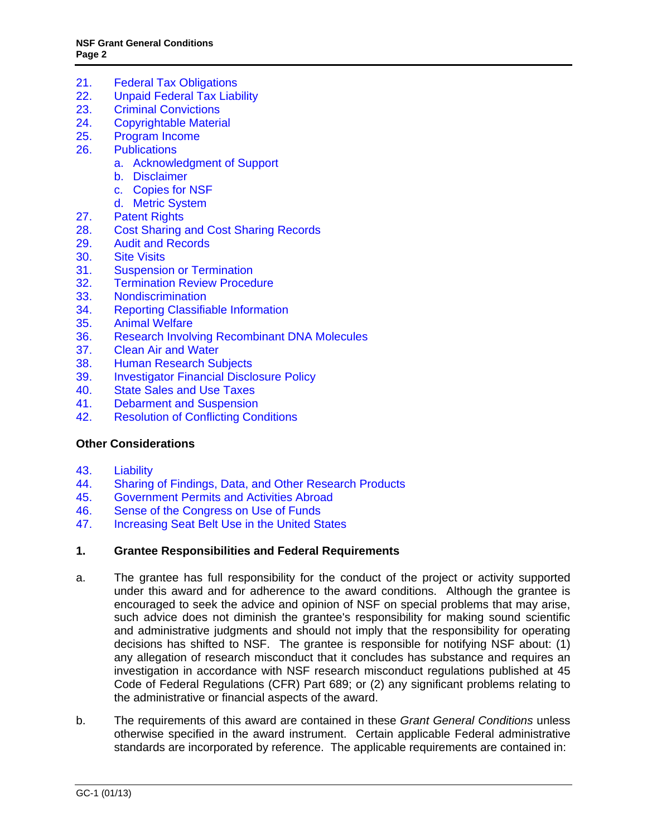- <span id="page-1-0"></span>[21. Federal Tax Obligations](#page-19-0)
- [22. Unpaid Federal Tax Liability](#page-19-0)
- [23. Criminal Convictions](#page-19-0)
- 24. [Copyrightable Material](#page-19-0)
- 25. [Program Income](#page-20-0)
- 26. [Publications](#page-21-0)
	- a. [Acknowledgment of Support](#page-21-0)
	- b. [Disclaimer](#page-21-0)
	- c. [Copies for NSF](#page-21-0)
	- d. [Metric System](#page-21-0)
- 27. [Patent Rights](#page-22-0)
- 28. [Cost Sharing and Cost Sharing Records](#page-27-0)
- 29. [Audit and Records](#page-28-0)
- 30. [Site Visits](#page-29-0)
- 31. [Suspension or Termination](#page-29-0)
- 32. [Termination Review Procedure](#page-30-0)
- 33. [Nondiscrimination](#page-31-0)
- 34. [Reporting Classifiable Information](#page-31-0)
- 35. [Animal Welfare](#page-32-0)
- 36. [Research Involving Recombinant DNA Molecules](#page-32-0)
- 37. [Clean Air and Water](#page-32-0)
- 38. [Human Research Subjects](#page-33-0)
- 39. [Investigator Financial Disclosure Policy](#page-33-0)
- 40. [State Sales and Use Taxes](#page-33-0)
- 41. [Debarment and Suspension](#page-33-0)
- 42. [Resolution of Conflicting Conditions](#page-33-0)

# **Other Considerations**

- 43. [Liability](#page-33-0)
- 44. [Sharing of Findings, Data, and Other Research Products](#page-34-0)
- 45. [Government Permits and Activities Abroad](#page-34-0)
- 46. [Sense of the Congress on Use of Funds](#page-34-0)<br>47. Increasing Seat Belt Use in the United St
- [Increasing Seat Belt Use in the United States](#page-34-0)

### **1. Grantee Responsibilities and Federal Requirements**

- a. The grantee has full responsibility for the conduct of the project or activity supported under this award and for adherence to the award conditions. Although the grantee is encouraged to seek the advice and opinion of NSF on special problems that may arise, such advice does not diminish the grantee's responsibility for making sound scientific and administrative judgments and should not imply that the responsibility for operating decisions has shifted to NSF. The grantee is responsible for notifying NSF about: (1) any allegation of research misconduct that it concludes has substance and requires an investigation in accordance with NSF research misconduct regulations published at 45 Code of Federal Regulations (CFR) Part 689; or (2) any significant problems relating to the administrative or financial aspects of the award.
- b. The requirements of this award are contained in these *Grant General Conditions* unless otherwise specified in the award instrument. Certain applicable Federal administrative standards are incorporated by reference. The applicable requirements are contained in: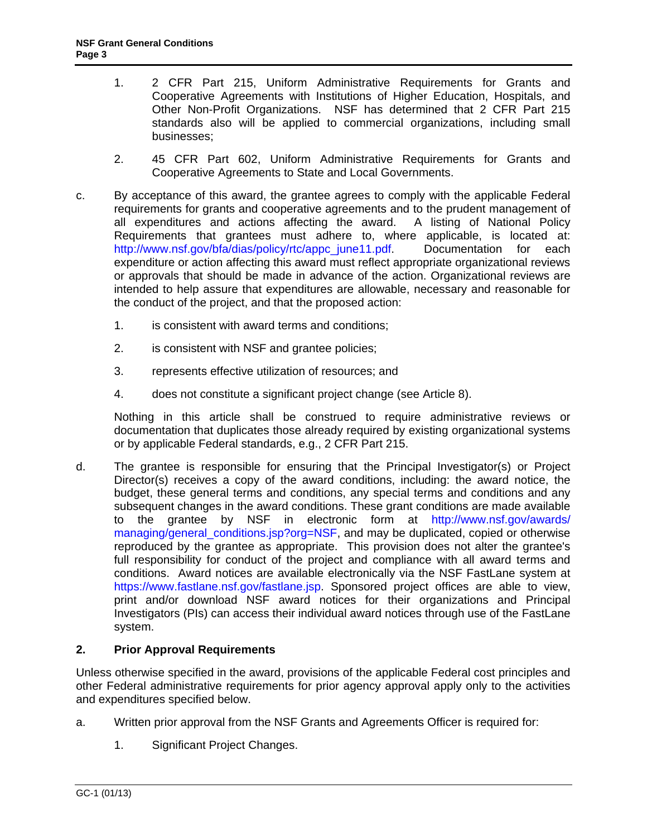- <span id="page-2-0"></span>1. 2 CFR Part 215, Uniform Administrative Requirements for Grants and Cooperative Agreements with Institutions of Higher Education, Hospitals, and Other Non-Profit Organizations. NSF has determined that 2 CFR Part 215 standards also will be applied to commercial organizations, including small businesses;
- 2. 45 CFR Part 602, Uniform Administrative Requirements for Grants and Cooperative Agreements to State and Local Governments.
- c. By acceptance of this award, the grantee agrees to comply with the applicable Federal requirements for grants and cooperative agreements and to the prudent management of all expenditures and actions affecting the award. A listing of National Policy Requirements that grantees must adhere to, where applicable, is located at: http://www.nsf.gov/bfa/dias/policy/rtc/appc\_june11.pdf. Documentation for each expenditure or action affecting this award must reflect appropriate organizational reviews or approvals that should be made in advance of the action. Organizational reviews are intended to help assure that expenditures are allowable, necessary and reasonable for the conduct of the project, and that the proposed action:
	- 1. is consistent with award terms and conditions;
	- 2. is consistent with NSF and grantee policies;
	- 3. represents effective utilization of resources; and
	- 4. does not constitute a significant project change (see Article 8).

 Nothing in this article shall be construed to require administrative reviews or documentation that duplicates those already required by existing organizational systems or by applicable Federal standards, e.g., 2 CFR Part 215.

d. The grantee is responsible for ensuring that the Principal Investigator(s) or Project Director(s) receives a copy of the award conditions, including: the award notice, the budget, these general terms and conditions, any special terms and conditions and any subsequent changes in the award conditions. These grant conditions are made available to the grantee by NSF in electronic form at http://www.nsf.gov/awards/ managing/general\_conditions.jsp?org=NSF, and may be duplicated, copied or otherwise reproduced by the grantee as appropriate. This provision does not alter the grantee's full responsibility for conduct of the project and compliance with all award terms and conditions. Award notices are available electronically via the NSF FastLane system at https://www.fastlane.nsf.gov/fastlane.jsp. Sponsored project offices are able to view, print and/or download NSF award notices for their organizations and Principal Investigators (PIs) can access their individual award notices through use of the FastLane system.

# **2. Prior Approval Requirements**

Unless otherwise specified in the award, provisions of the applicable Federal cost principles and other Federal administrative requirements for prior agency approval apply only to the activities and expenditures specified below.

- a. Written prior approval from the NSF Grants and Agreements Officer is required for:
	- 1. Significant Project Changes.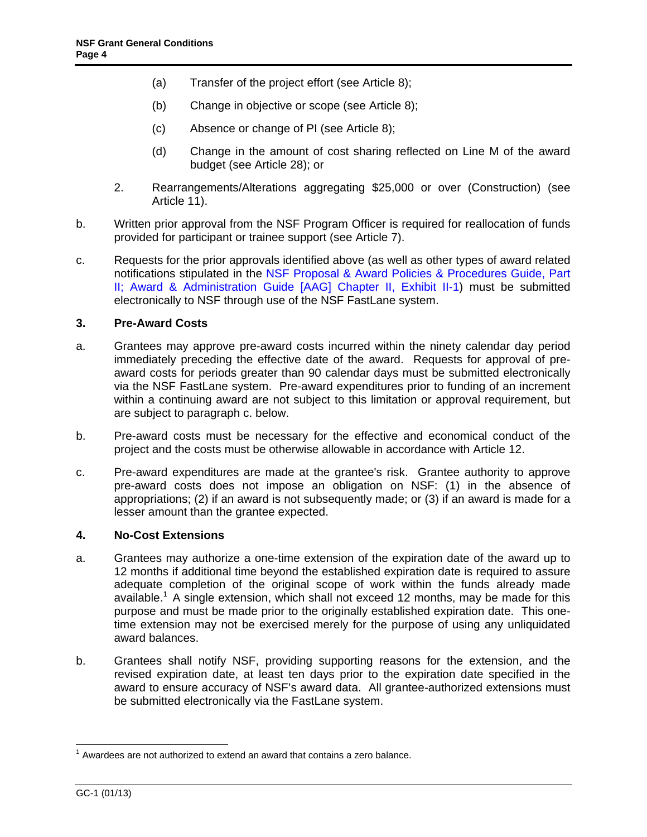- <span id="page-3-0"></span>(a) Transfer of the project effort (see Article 8);
- (b) Change in objective or scope (see Article 8);
- (c) Absence or change of PI (see Article 8);
- (d) Change in the amount of cost sharing reflected on Line M of the award budget (see Article 28); or
- 2. Rearrangements/Alterations aggregating \$25,000 or over (Construction) (see Article 11).
- b. Written prior approval from the NSF Program Officer is required for reallocation of funds provided for participant or trainee support (see Article 7).
- c. Requests for the prior approvals identified above (as well as other types of award related notifications stipulated in the NSF Proposal & Award Policies & Procedures Guide, Part [II; Award & Administration Guide \[AAG\] Chapter II, Exhibit II-1\)](http://www.nsf.gov/pubs/policydocs/pappguide/nsf13001/aag_2ex1.pdf) must be submitted electronically to NSF through use of the NSF FastLane system.

# **3. Pre-Award Costs**

- a. Grantees may approve pre-award costs incurred within the ninety calendar day period immediately preceding the effective date of the award. Requests for approval of preaward costs for periods greater than 90 calendar days must be submitted electronically via the NSF FastLane system. Pre-award expenditures prior to funding of an increment within a continuing award are not subject to this limitation or approval requirement, but are subject to paragraph c. below.
- b. Pre-award costs must be necessary for the effective and economical conduct of the project and the costs must be otherwise allowable in accordance with Article 12.
- c. Pre-award expenditures are made at the grantee's risk. Grantee authority to approve pre-award costs does not impose an obligation on NSF: (1) in the absence of appropriations; (2) if an award is not subsequently made; or (3) if an award is made for a lesser amount than the grantee expected.

### **4. No-Cost Extensions**

- a. Grantees may authorize a one-time extension of the expiration date of the award up to 12 months if additional time beyond the established expiration date is required to assure adequate completion of the original scope of work within the funds already made available.<sup>1</sup> A single extension, which shall not exceed 12 months, may be made for this purpose and must be made prior to the originally established expiration date. This onetime extension may not be exercised merely for the purpose of using any unliquidated award balances.
- b. Grantees shall notify NSF, providing supporting reasons for the extension, and the revised expiration date, at least ten days prior to the expiration date specified in the award to ensure accuracy of NSF's award data. All grantee-authorized extensions must be submitted electronically via the FastLane system.

<sup>-</sup> $1$  Awardees are not authorized to extend an award that contains a zero balance.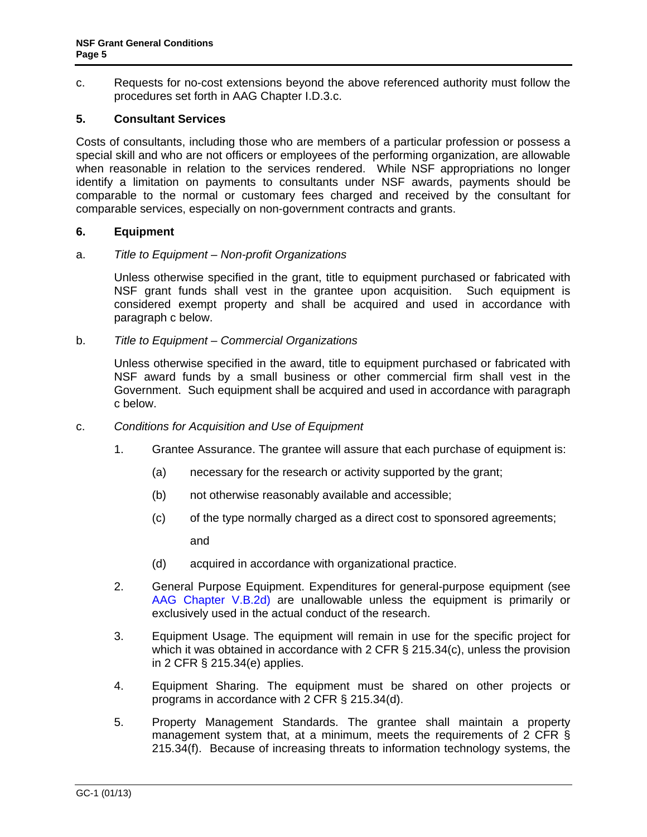<span id="page-4-0"></span>c. Requests for no-cost extensions beyond the above referenced authority must follow the procedures set forth in AAG Chapter I.D.3.c.

# **5. Consultant Services**

Costs of consultants, including those who are members of a particular profession or possess a special skill and who are not officers or employees of the performing organization, are allowable when reasonable in relation to the services rendered. While NSF appropriations no longer identify a limitation on payments to consultants under NSF awards, payments should be comparable to the normal or customary fees charged and received by the consultant for comparable services, especially on non-government contracts and grants.

### **6. Equipment**

### a. *Title to Equipment – Non-profit Organizations*

 Unless otherwise specified in the grant, title to equipment purchased or fabricated with NSF grant funds shall vest in the grantee upon acquisition. Such equipment is considered exempt property and shall be acquired and used in accordance with paragraph c below.

### b. *Title to Equipment – Commercial Organizations*

 Unless otherwise specified in the award, title to equipment purchased or fabricated with NSF award funds by a small business or other commercial firm shall vest in the Government. Such equipment shall be acquired and used in accordance with paragraph c below.

- c. *Conditions for Acquisition and Use of Equipment*
	- 1. Grantee Assurance. The grantee will assure that each purchase of equipment is:
		- (a) necessary for the research or activity supported by the grant;
		- (b) not otherwise reasonably available and accessible;
		- (c) of the type normally charged as a direct cost to sponsored agreements;

and

- (d) acquired in accordance with organizational practice.
- 2. General Purpose Equipment. Expenditures for general-purpose equipment (see [AAG Chapter V.B.2d\)](http://www.nsf.gov/pubs/policydocs/pappguide/nsf13001/aag_5.jsp#VB2d) are unallowable unless the equipment is primarily or exclusively used in the actual conduct of the research.
- 3. Equipment Usage. The equipment will remain in use for the specific project for which it was obtained in accordance with 2 CFR § 215.34(c), unless the provision in 2 CFR § 215.34(e) applies.
- 4. Equipment Sharing. The equipment must be shared on other projects or programs in accordance with 2 CFR § 215.34(d).
- 5. Property Management Standards. The grantee shall maintain a property management system that, at a minimum, meets the requirements of 2 CFR § 215.34(f). Because of increasing threats to information technology systems, the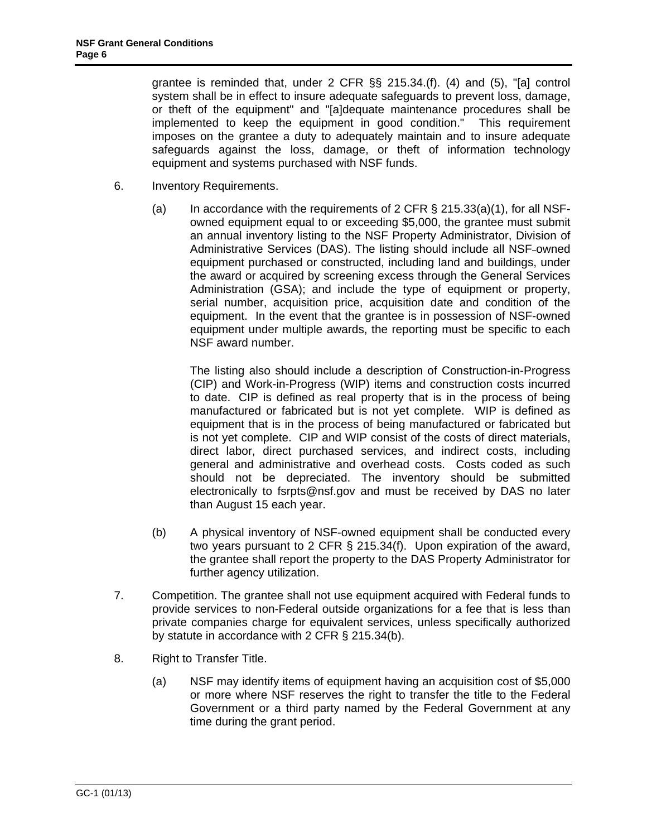grantee is reminded that, under 2 CFR §§ 215.34.(f). (4) and (5), "[a] control system shall be in effect to insure adequate safeguards to prevent loss, damage, or theft of the equipment" and "[a]dequate maintenance procedures shall be implemented to keep the equipment in good condition." This requirement imposes on the grantee a duty to adequately maintain and to insure adequate safeguards against the loss, damage, or theft of information technology equipment and systems purchased with NSF funds.

- 6. Inventory Requirements.
	- (a) In accordance with the requirements of 2 CFR  $\S$  215.33(a)(1), for all NSFowned equipment equal to or exceeding \$5,000, the grantee must submit an annual inventory listing to the NSF Property Administrator, Division of Administrative Services (DAS). The listing should include all NSF-owned equipment purchased or constructed, including land and buildings, under the award or acquired by screening excess through the General Services Administration (GSA); and include the type of equipment or property, serial number, acquisition price, acquisition date and condition of the equipment. In the event that the grantee is in possession of NSF-owned equipment under multiple awards, the reporting must be specific to each NSF award number.

The listing also should include a description of Construction-in-Progress (CIP) and Work-in-Progress (WIP) items and construction costs incurred to date. CIP is defined as real property that is in the process of being manufactured or fabricated but is not yet complete. WIP is defined as equipment that is in the process of being manufactured or fabricated but is not yet complete. CIP and WIP consist of the costs of direct materials, direct labor, direct purchased services, and indirect costs, including general and administrative and overhead costs. Costs coded as such should not be depreciated. The inventory should be submitted electronically to fsrpts@nsf.gov and must be received by DAS no later than August 15 each year.

- (b) A physical inventory of NSF-owned equipment shall be conducted every two years pursuant to 2 CFR § 215.34(f). Upon expiration of the award, the grantee shall report the property to the DAS Property Administrator for further agency utilization.
- 7. Competition. The grantee shall not use equipment acquired with Federal funds to provide services to non-Federal outside organizations for a fee that is less than private companies charge for equivalent services, unless specifically authorized by statute in accordance with 2 CFR § 215.34(b).
- 8. Right to Transfer Title.
	- (a) NSF may identify items of equipment having an acquisition cost of \$5,000 or more where NSF reserves the right to transfer the title to the Federal Government or a third party named by the Federal Government at any time during the grant period.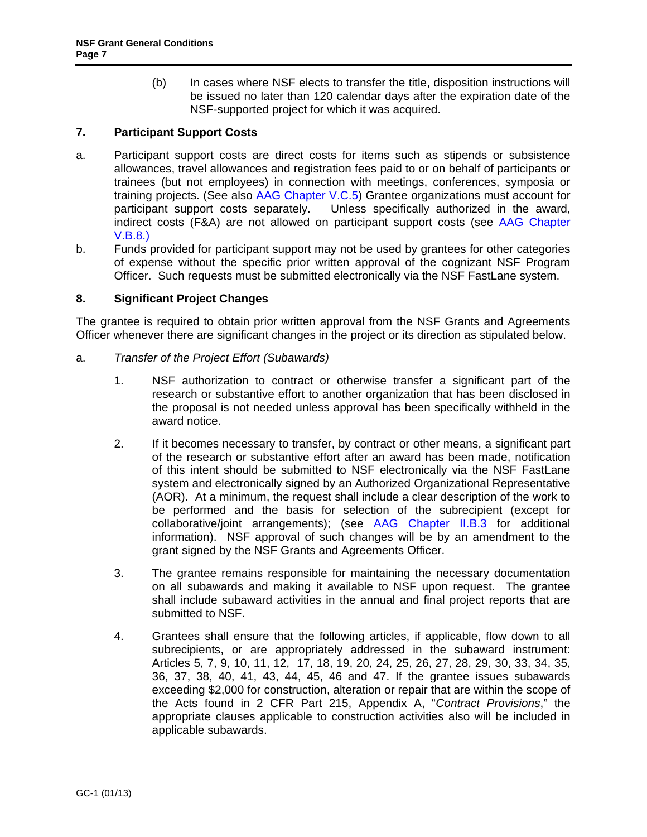(b) In cases where NSF elects to transfer the title, disposition instructions will be issued no later than 120 calendar days after the expiration date of the NSF-supported project for which it was acquired.

# <span id="page-6-0"></span>**7. Participant Support Costs**

- a. Participant support costs are direct costs for items such as stipends or subsistence allowances, travel allowances and registration fees paid to or on behalf of participants or trainees (but not employees) in connection with meetings, conferences, symposia or training projects. (See also [AAG Chapter V.C.5](http://www.nsf.gov/pubs/policydocs/pappguide/nsf13001/aag_5.jsp#VC5)) Grantee organizations must account for participant support costs separately. Unless specifically authorized in the award, indirect costs (F&A) are not allowed on participant support costs (see [AAG Chapter](http://www.nsf.gov/pubs/policydocs/pappguide/nsf13001/aag_5.jsp#VB8) [V.B.8.](http://www.nsf.gov/pubs/policydocs/pappguide/nsf13001/aag_5.jsp#VB8))
- b. Funds provided for participant support may not be used by grantees for other categories of expense without the specific prior written approval of the cognizant NSF Program Officer. Such requests must be submitted electronically via the NSF FastLane system.

# **8. Significant Project Changes**

The grantee is required to obtain prior written approval from the NSF Grants and Agreements Officer whenever there are significant changes in the project or its direction as stipulated below.

- a. *Transfer of the Project Effort (Subawards)* 
	- 1. NSF authorization to contract or otherwise transfer a significant part of the research or substantive effort to another organization that has been disclosed in the proposal is not needed unless approval has been specifically withheld in the award notice.
	- 2. If it becomes necessary to transfer, by contract or other means, a significant part of the research or substantive effort after an award has been made, notification of this intent should be submitted to NSF electronically via the NSF FastLane system and electronically signed by an Authorized Organizational Representative (AOR). At a minimum, the request shall include a clear description of the work to be performed and the basis for selection of the subrecipient (except for collaborative/joint arrangements); (see [AAG Chapter II.B.3](http://www.nsf.gov/pubs/policydocs/pappguide/nsf13001/aag_2.jsp#IIB3) for additional information). NSF approval of such changes will be by an amendment to the grant signed by the NSF Grants and Agreements Officer.
	- 3. The grantee remains responsible for maintaining the necessary documentation on all subawards and making it available to NSF upon request. The grantee shall include subaward activities in the annual and final project reports that are submitted to NSF.
	- 4. Grantees shall ensure that the following articles, if applicable, flow down to all subrecipients, or are appropriately addressed in the subaward instrument: Articles 5, 7, 9, 10, 11, 12, 17, 18, 19, 20, 24, 25, 26, 27, 28, 29, 30, 33, 34, 35, 36, 37, 38, 40, 41, 43, 44, 45, 46 and 47. If the grantee issues subawards exceeding \$2,000 for construction, alteration or repair that are within the scope of the Acts found in 2 CFR Part 215, Appendix A, "*Contract Provisions*," the appropriate clauses applicable to construction activities also will be included in applicable subawards.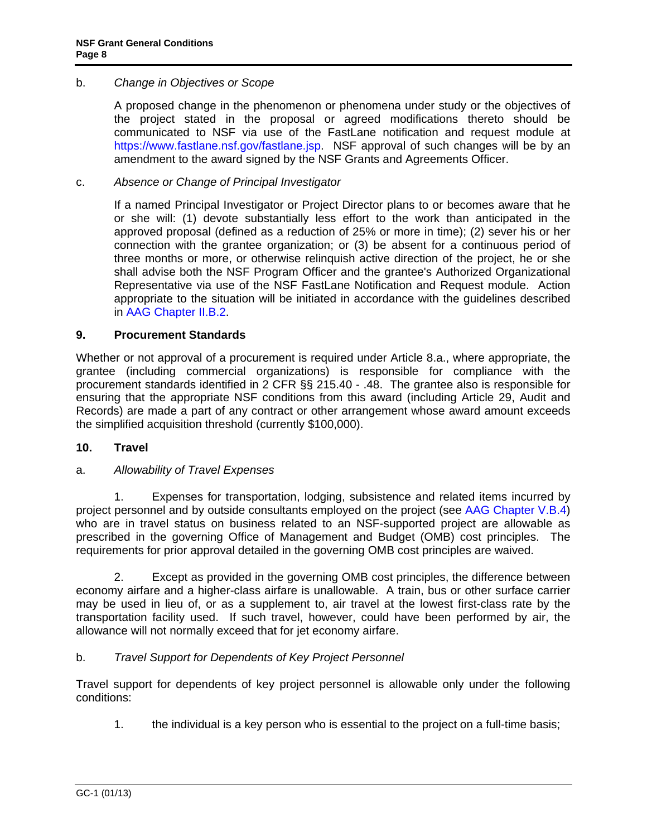# <span id="page-7-0"></span>b. *Change in Objectives or Scope*

 A proposed change in the phenomenon or phenomena under study or the objectives of the project stated in the proposal or agreed modifications thereto should be communicated to NSF via use of the FastLane notification and request module at https://www.fastlane.nsf.gov/fastlane.jsp. NSF approval of such changes will be by an amendment to the award signed by the NSF Grants and Agreements Officer.

# c. *Absence or Change of Principal Investigator*

 If a named Principal Investigator or Project Director plans to or becomes aware that he or she will: (1) devote substantially less effort to the work than anticipated in the approved proposal (defined as a reduction of 25% or more in time); (2) sever his or her connection with the grantee organization; or (3) be absent for a continuous period of three months or more, or otherwise relinquish active direction of the project, he or she shall advise both the NSF Program Officer and the grantee's Authorized Organizational Representative via use of the NSF FastLane Notification and Request module. Action appropriate to the situation will be initiated in accordance with the guidelines described in [AAG Chapter II.B.2.](http://www.nsf.gov/pubs/policydocs/pappguide/nsf13001/aag_2.jsp#IIB2)

### **9. Procurement Standards**

Whether or not approval of a procurement is required under Article 8.a., where appropriate, the grantee (including commercial organizations) is responsible for compliance with the procurement standards identified in 2 CFR §§ 215.40 - .48. The grantee also is responsible for ensuring that the appropriate NSF conditions from this award (including Article 29, Audit and Records) are made a part of any contract or other arrangement whose award amount exceeds the simplified acquisition threshold (currently \$100,000).

### **10. Travel**

# a. *Allowability of Travel Expenses*

 1. Expenses for transportation, lodging, subsistence and related items incurred by project personnel and by outside consultants employed on the project (see [AAG Chapter V.B.4\)](http://www.nsf.gov/pubs/policydocs/pappguide/nsf13001/aag_5.jsp#VB4) who are in travel status on business related to an NSF-supported project are allowable as prescribed in the governing Office of Management and Budget (OMB) cost principles. The requirements for prior approval detailed in the governing OMB cost principles are waived.

 2. Except as provided in the governing OMB cost principles, the difference between economy airfare and a higher-class airfare is unallowable. A train, bus or other surface carrier may be used in lieu of, or as a supplement to, air travel at the lowest first-class rate by the transportation facility used. If such travel, however, could have been performed by air, the allowance will not normally exceed that for jet economy airfare.

# b. *Travel Support for Dependents of Key Project Personnel*

 Travel support for dependents of key project personnel is allowable only under the following conditions:

1. the individual is a key person who is essential to the project on a full-time basis;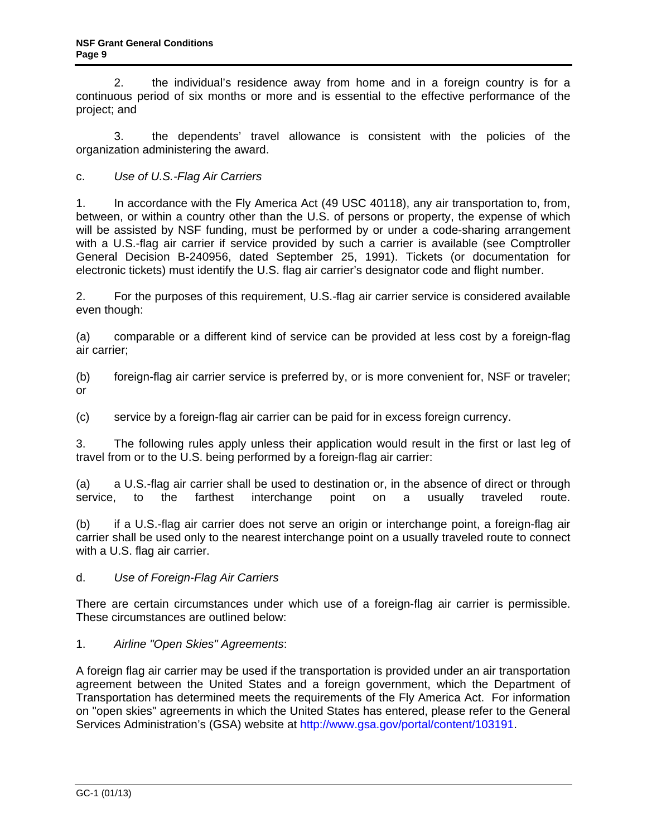<span id="page-8-0"></span> 2. the individual's residence away from home and in a foreign country is for a continuous period of six months or more and is essential to the effective performance of the project; and

 3. the dependents' travel allowance is consistent with the policies of the organization administering the award.

c. *Use of U.S.-Flag Air Carriers* 

1. In accordance with the Fly America Act (49 USC 40118), any air transportation to, from, between, or within a country other than the U.S. of persons or property, the expense of which will be assisted by NSF funding, must be performed by or under a code-sharing arrangement with a U.S.-flag air carrier if service provided by such a carrier is available (see Comptroller General Decision B-240956, dated September 25, 1991). Tickets (or documentation for electronic tickets) must identify the U.S. flag air carrier's designator code and flight number.

2. For the purposes of this requirement, U.S.-flag air carrier service is considered available even though:

(a) comparable or a different kind of service can be provided at less cost by a foreign-flag air carrier;

(b) foreign-flag air carrier service is preferred by, or is more convenient for, NSF or traveler; or

(c) service by a foreign-flag air carrier can be paid for in excess foreign currency.

3. The following rules apply unless their application would result in the first or last leg of travel from or to the U.S. being performed by a foreign-flag air carrier:

(a) a U.S.-flag air carrier shall be used to destination or, in the absence of direct or through service, to the farthest interchange point on a usually traveled route.

(b) if a U.S.-flag air carrier does not serve an origin or interchange point, a foreign-flag air carrier shall be used only to the nearest interchange point on a usually traveled route to connect with a U.S. flag air carrier.

# d. *Use of Foreign-Flag Air Carriers*

There are certain circumstances under which use of a foreign-flag air carrier is permissible. These circumstances are outlined below:

# 1. *Airline "Open Skies" Agreements*:

A foreign flag air carrier may be used if the transportation is provided under an air transportation agreement between the United States and a foreign government, which the Department of Transportation has determined meets the requirements of the Fly America Act. For information on "open skies" agreements in which the United States has entered, please refer to the General Services Administration's (GSA) website at http://www.gsa.gov/portal/content/103191.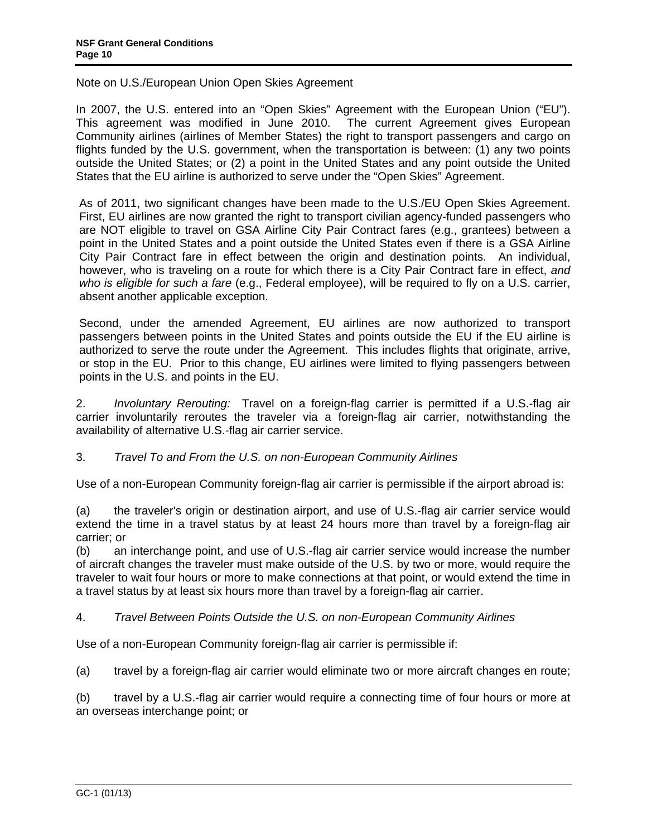Note on U.S./European Union Open Skies Agreement

In 2007, the U.S. entered into an "Open Skies" Agreement with the European Union ("EU"). This agreement was modified in June 2010. The current Agreement gives European Community airlines (airlines of Member States) the right to transport passengers and cargo on flights funded by the U.S. government, when the transportation is between: (1) any two points outside the United States; or (2) a point in the United States and any point outside the United States that the EU airline is authorized to serve under the "Open Skies" Agreement.

As of 2011, two significant changes have been made to the U.S./EU Open Skies Agreement. First, EU airlines are now granted the right to transport civilian agency-funded passengers who are NOT eligible to travel on GSA Airline City Pair Contract fares (e.g., grantees) between a point in the United States and a point outside the United States even if there is a GSA Airline City Pair Contract fare in effect between the origin and destination points. An individual, however, who is traveling on a route for which there is a City Pair Contract fare in effect, *and who is eligible for such a fare* (e.g., Federal employee), will be required to fly on a U.S. carrier, absent another applicable exception.

Second, under the amended Agreement, EU airlines are now authorized to transport passengers between points in the United States and points outside the EU if the EU airline is authorized to serve the route under the Agreement. This includes flights that originate, arrive, or stop in the EU. Prior to this change, EU airlines were limited to flying passengers between points in the U.S. and points in the EU.

2. *Involuntary Rerouting:* Travel on a foreign-flag carrier is permitted if a U.S.-flag air carrier involuntarily reroutes the traveler via a foreign-flag air carrier, notwithstanding the availability of alternative U.S.-flag air carrier service.

# 3. *Travel To and From the U.S. on non-European Community Airlines*

Use of a non-European Community foreign-flag air carrier is permissible if the airport abroad is:

(a) the traveler's origin or destination airport, and use of U.S.-flag air carrier service would extend the time in a travel status by at least 24 hours more than travel by a foreign-flag air carrier; or

(b) an interchange point, and use of U.S.-flag air carrier service would increase the number of aircraft changes the traveler must make outside of the U.S. by two or more, would require the traveler to wait four hours or more to make connections at that point, or would extend the time in a travel status by at least six hours more than travel by a foreign-flag air carrier.

# 4. *Travel Between Points Outside the U.S. on non-European Community Airlines*

Use of a non-European Community foreign-flag air carrier is permissible if:

(a) travel by a foreign-flag air carrier would eliminate two or more aircraft changes en route;

(b) travel by a U.S.-flag air carrier would require a connecting time of four hours or more at an overseas interchange point; or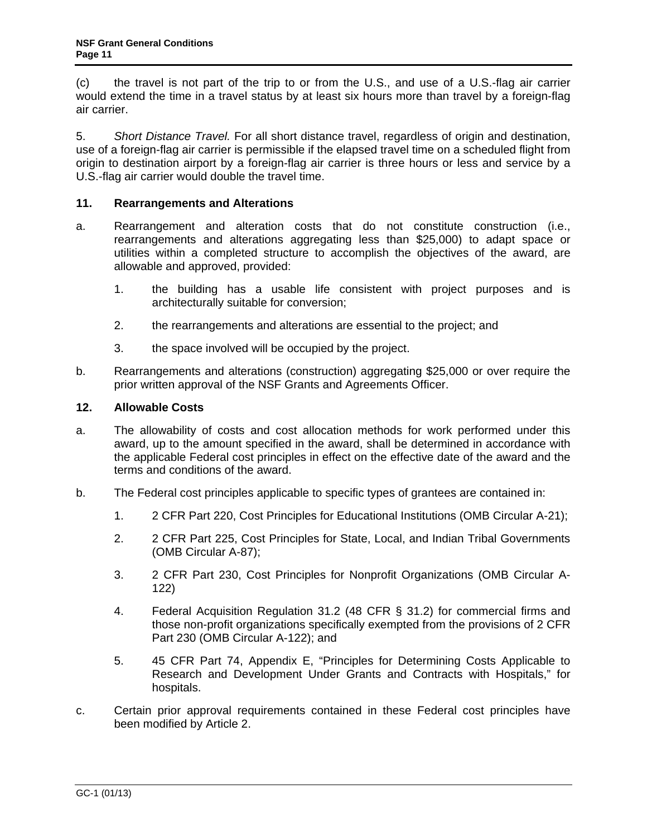<span id="page-10-0"></span>(c) the travel is not part of the trip to or from the U.S., and use of a U.S.-flag air carrier would extend the time in a travel status by at least six hours more than travel by a foreign-flag air carrier.

5. *Short Distance Travel.* For all short distance travel, regardless of origin and destination, use of a foreign-flag air carrier is permissible if the elapsed travel time on a scheduled flight from origin to destination airport by a foreign-flag air carrier is three hours or less and service by a U.S.-flag air carrier would double the travel time.

# **11. Rearrangements and Alterations**

- a. Rearrangement and alteration costs that do not constitute construction (i.e., rearrangements and alterations aggregating less than \$25,000) to adapt space or utilities within a completed structure to accomplish the objectives of the award, are allowable and approved, provided:
	- 1. the building has a usable life consistent with project purposes and is architecturally suitable for conversion;
	- 2. the rearrangements and alterations are essential to the project; and
	- 3. the space involved will be occupied by the project.
- b. Rearrangements and alterations (construction) aggregating \$25,000 or over require the prior written approval of the NSF Grants and Agreements Officer.

# **12. Allowable Costs**

- a. The allowability of costs and cost allocation methods for work performed under this award, up to the amount specified in the award, shall be determined in accordance with the applicable Federal cost principles in effect on the effective date of the award and the terms and conditions of the award.
- b. The Federal cost principles applicable to specific types of grantees are contained in:
	- 1. 2 CFR Part 220, Cost Principles for Educational Institutions (OMB Circular A-21);
	- 2. 2 CFR Part 225, Cost Principles for State, Local, and Indian Tribal Governments (OMB Circular A-87);
	- 3. 2 CFR Part 230, Cost Principles for Nonprofit Organizations (OMB Circular A-122)
	- 4. Federal Acquisition Regulation 31.2 (48 CFR § 31.2) for commercial firms and those non-profit organizations specifically exempted from the provisions of 2 CFR Part 230 (OMB Circular A-122); and
	- 5. 45 CFR Part 74, Appendix E, "Principles for Determining Costs Applicable to Research and Development Under Grants and Contracts with Hospitals," for hospitals.
- c. Certain prior approval requirements contained in these Federal cost principles have been modified by Article 2.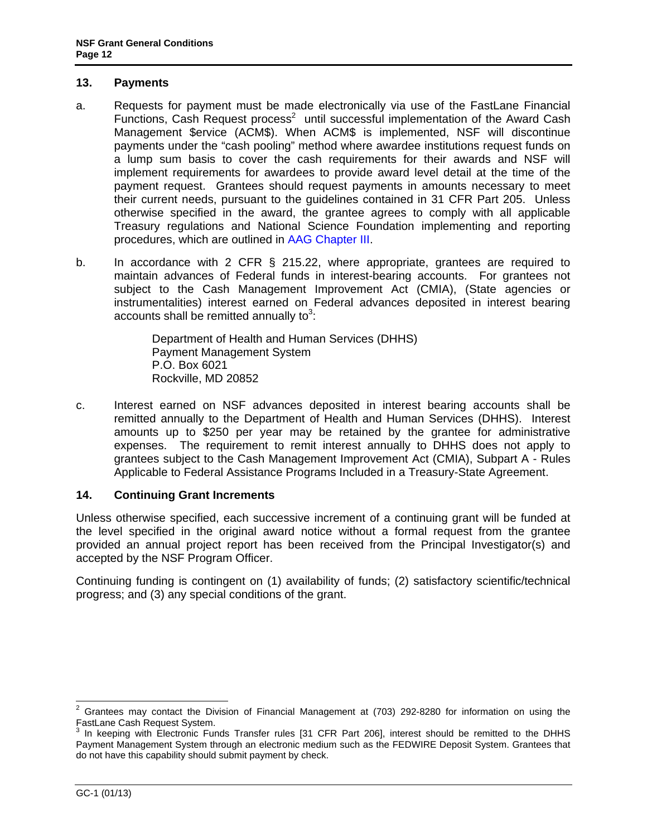### <span id="page-11-0"></span>**13. Payments**

- a. Requests for payment must be made electronically via use of the FastLane Financial Functions, Cash Request process<sup>2</sup> until successful implementation of the Award Cash Management \$ervice (ACM\$). When ACM\$ is implemented, NSF will discontinue payments under the "cash pooling" method where awardee institutions request funds on a lump sum basis to cover the cash requirements for their awards and NSF will implement requirements for awardees to provide award level detail at the time of the payment request. Grantees should request payments in amounts necessary to meet their current needs, pursuant to the guidelines contained in 31 CFR Part 205. Unless otherwise specified in the award, the grantee agrees to comply with all applicable Treasury regulations and National Science Foundation implementing and reporting procedures, which are outlined in [AAG Chapter III.](http://www.nsf.gov/pubs/policydocs/pappguide/nsf13001/aag_3.jsp)
- b. In accordance with 2 CFR § 215.22, where appropriate, grantees are required to maintain advances of Federal funds in interest-bearing accounts. For grantees not subject to the Cash Management Improvement Act (CMIA), (State agencies or instrumentalities) interest earned on Federal advances deposited in interest bearing accounts shall be remitted annually to<sup>3</sup>:

Department of Health and Human Services (DHHS) Payment Management System P.O. Box 6021 Rockville, MD 20852

c. Interest earned on NSF advances deposited in interest bearing accounts shall be remitted annually to the Department of Health and Human Services (DHHS). Interest amounts up to \$250 per year may be retained by the grantee for administrative expenses. The requirement to remit interest annually to DHHS does not apply to grantees subject to the Cash Management Improvement Act (CMIA), Subpart A - Rules Applicable to Federal Assistance Programs Included in a Treasury-State Agreement.

# **14. Continuing Grant Increments**

Unless otherwise specified, each successive increment of a continuing grant will be funded at the level specified in the original award notice without a formal request from the grantee provided an annual project report has been received from the Principal Investigator(s) and accepted by the NSF Program Officer.

Continuing funding is contingent on (1) availability of funds; (2) satisfactory scientific/technical progress; and (3) any special conditions of the grant.

 $\frac{1}{2}$  Grantees may contact the Division of Financial Management at (703) 292-8280 for information on using the FastLane Cash Request System.

<sup>&</sup>lt;sup>3</sup> In keeping with Electronic Funds Transfer rules [31 CFR Part 206], interest should be remitted to the DHHS Payment Management System through an electronic medium such as the FEDWIRE Deposit System. Grantees that do not have this capability should submit payment by check.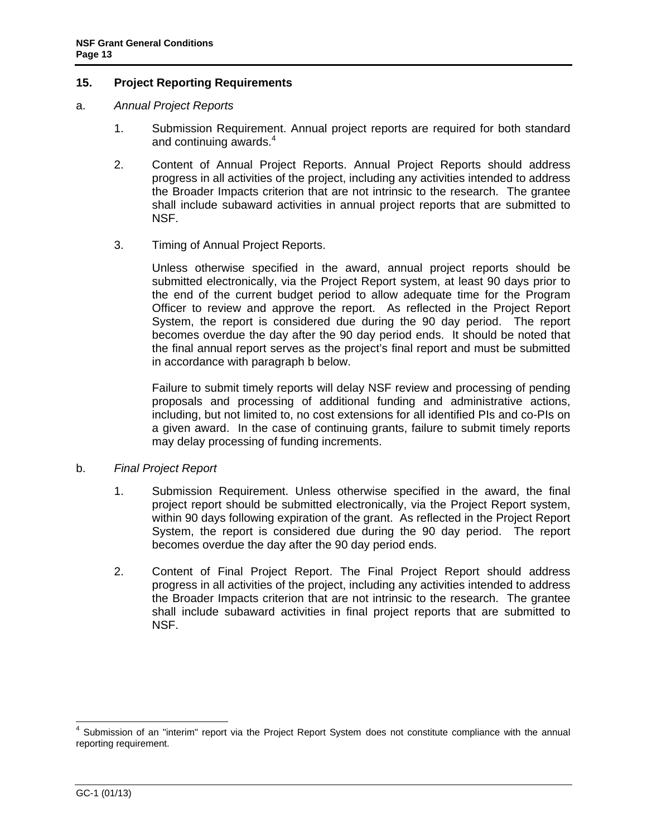### <span id="page-12-0"></span>**15. Project Reporting Requirements**

- a. *Annual Project Reports*
	- 1. Submission Requirement. Annual project reports are required for both standard and continuing awards.<sup>4</sup>
	- 2. Content of Annual Project Reports. Annual Project Reports should address progress in all activities of the project, including any activities intended to address the Broader Impacts criterion that are not intrinsic to the research. The grantee shall include subaward activities in annual project reports that are submitted to NSF.
	- 3. Timing of Annual Project Reports.

Unless otherwise specified in the award, annual project reports should be submitted electronically, via the Project Report system, at least 90 days prior to the end of the current budget period to allow adequate time for the Program Officer to review and approve the report. As reflected in the Project Report System, the report is considered due during the 90 day period. The report becomes overdue the day after the 90 day period ends. It should be noted that the final annual report serves as the project's final report and must be submitted in accordance with paragraph b below.

Failure to submit timely reports will delay NSF review and processing of pending proposals and processing of additional funding and administrative actions, including, but not limited to, no cost extensions for all identified PIs and co-PIs on a given award. In the case of continuing grants, failure to submit timely reports may delay processing of funding increments.

### b. *Final Project Report*

- 1. Submission Requirement. Unless otherwise specified in the award, the final project report should be submitted electronically, via the Project Report system, within 90 days following expiration of the grant. As reflected in the Project Report System, the report is considered due during the 90 day period. The report becomes overdue the day after the 90 day period ends.
- 2. Content of Final Project Report. The Final Project Report should address progress in all activities of the project, including any activities intended to address the Broader Impacts criterion that are not intrinsic to the research. The grantee shall include subaward activities in final project reports that are submitted to NSF.

 4 Submission of an "interim" report via the Project Report System does not constitute compliance with the annual reporting requirement.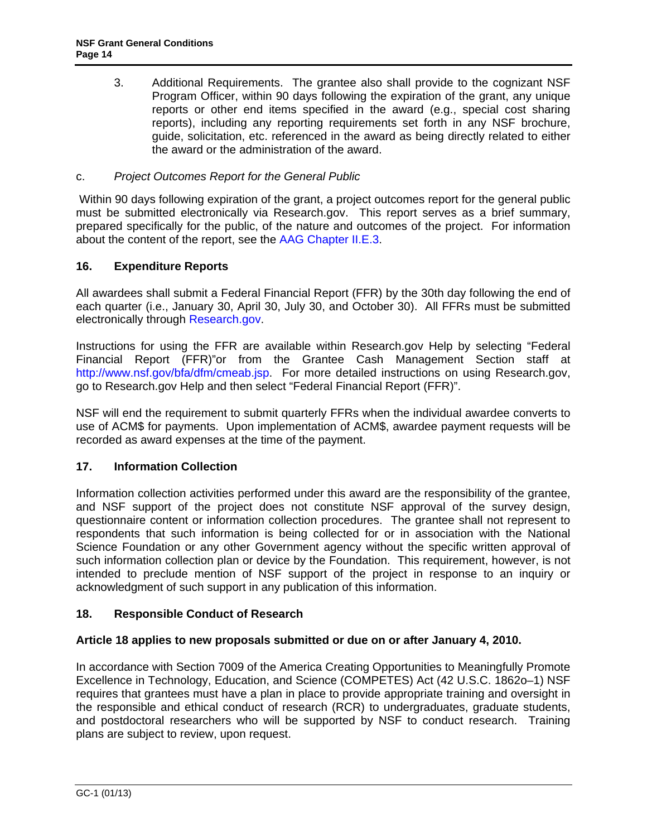<span id="page-13-0"></span>3. Additional Requirements. The grantee also shall provide to the cognizant NSF Program Officer, within 90 days following the expiration of the grant, any unique reports or other end items specified in the award (e.g., special cost sharing reports), including any reporting requirements set forth in any NSF brochure, guide, solicitation, etc. referenced in the award as being directly related to either the award or the administration of the award.

# c. *Project Outcomes Report for the General Public*

 Within 90 days following expiration of the grant, a project outcomes report for the general public must be submitted electronically via Research.gov. This report serves as a brief summary, prepared specifically for the public, of the nature and outcomes of the project. For information about the content of the report, see the [AAG Chapter II.E.3.](http://www.nsf.gov/pubs/policydocs/pappguide/nsf13001/aag_2.jsp#IIE3)

# **16. Expenditure Reports**

All awardees shall submit a Federal Financial Report (FFR) by the 30th day following the end of each quarter (i.e., January 30, April 30, July 30, and October 30). All FFRs must be submitted electronically through [Research.gov.](http://www.research.gov/)

Instructions for using the FFR are available within Research.gov Help by selecting "Federal Financial Report (FFR)"or from the Grantee Cash Management Section staff at http://www.nsf.gov/bfa/dfm/cmeab.jsp. For more detailed instructions on using Research.gov, go to Research.gov Help and then select "Federal Financial Report (FFR)".

NSF will end the requirement to submit quarterly FFRs when the individual awardee converts to use of ACM\$ for payments. Upon implementation of ACM\$, awardee payment requests will be recorded as award expenses at the time of the payment.

# **17. Information Collection**

Information collection activities performed under this award are the responsibility of the grantee, and NSF support of the project does not constitute NSF approval of the survey design, questionnaire content or information collection procedures. The grantee shall not represent to respondents that such information is being collected for or in association with the National Science Foundation or any other Government agency without the specific written approval of such information collection plan or device by the Foundation. This requirement, however, is not intended to preclude mention of NSF support of the project in response to an inquiry or acknowledgment of such support in any publication of this information.

# **18. Responsible Conduct of Research**

# **Article 18 applies to new proposals submitted or due on or after January 4, 2010.**

In accordance with Section 7009 of the America Creating Opportunities to Meaningfully Promote Excellence in Technology, Education, and Science (COMPETES) Act (42 U.S.C. 1862o–1) NSF requires that grantees must have a plan in place to provide appropriate training and oversight in the responsible and ethical conduct of research (RCR) to undergraduates, graduate students, and postdoctoral researchers who will be supported by NSF to conduct research. Training plans are subject to review, upon request.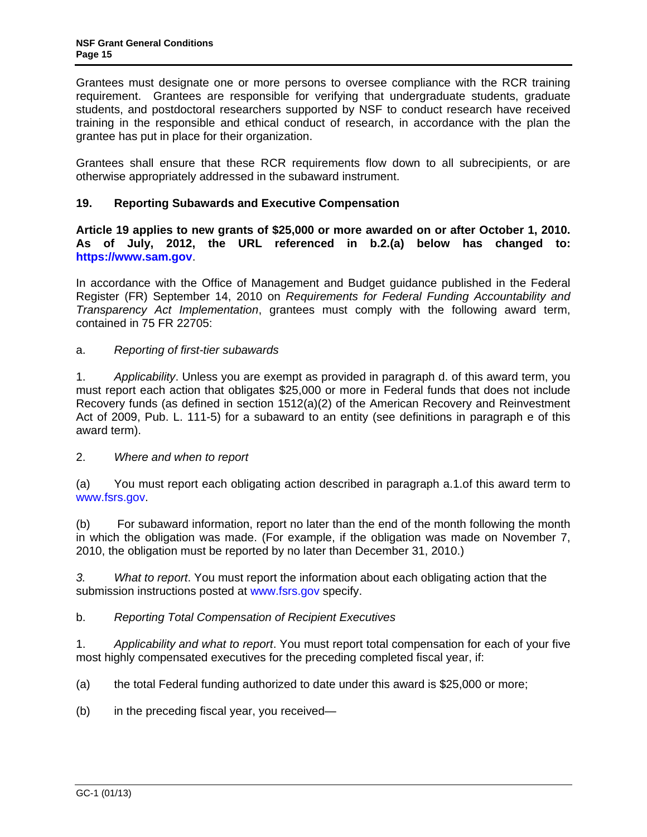<span id="page-14-0"></span>Grantees must designate one or more persons to oversee compliance with the RCR training requirement. Grantees are responsible for verifying that undergraduate students, graduate students, and postdoctoral researchers supported by NSF to conduct research have received training in the responsible and ethical conduct of research, in accordance with the plan the grantee has put in place for their organization.

Grantees shall ensure that these RCR requirements flow down to all subrecipients, or are otherwise appropriately addressed in the subaward instrument.

# **19. Reporting Subawards and Executive Compensation**

**Article 19 applies to new grants of \$25,000 or more awarded on or after October 1, 2010. As of July, 2012, the URL referenced in b.2.(a) below has changed to: https://www.sam.gov**.

In accordance with the Office of Management and Budget guidance published in the Federal Register (FR) September 14, 2010 on *Requirements for Federal Funding Accountability and Transparency Act Implementation*, grantees must comply with the following award term, contained in 75 FR 22705:

# a. *Reporting of first-tier subawards*

1. *Applicability*. Unless you are exempt as provided in paragraph d. of this award term, you must report each action that obligates \$25,000 or more in Federal funds that does not include Recovery funds (as defined in section 1512(a)(2) of the American Recovery and Reinvestment Act of 2009, Pub. L. 111-5) for a subaward to an entity (see definitions in paragraph e of this award term).

2. *Where and when to report*

(a) You must report each obligating action described in paragraph a.1.of this award term to www.fsrs.gov.

(b) For subaward information, report no later than the end of the month following the month in which the obligation was made. (For example, if the obligation was made on November 7, 2010, the obligation must be reported by no later than December 31, 2010.)

*3. What to report*. You must report the information about each obligating action that the submission instructions posted at www.fsrs.gov specify.

b. *Reporting Total Compensation of Recipient Executives* 

1. *Applicability and what to report*. You must report total compensation for each of your five most highly compensated executives for the preceding completed fiscal year, if:

(a) the total Federal funding authorized to date under this award is \$25,000 or more;

(b) in the preceding fiscal year, you received—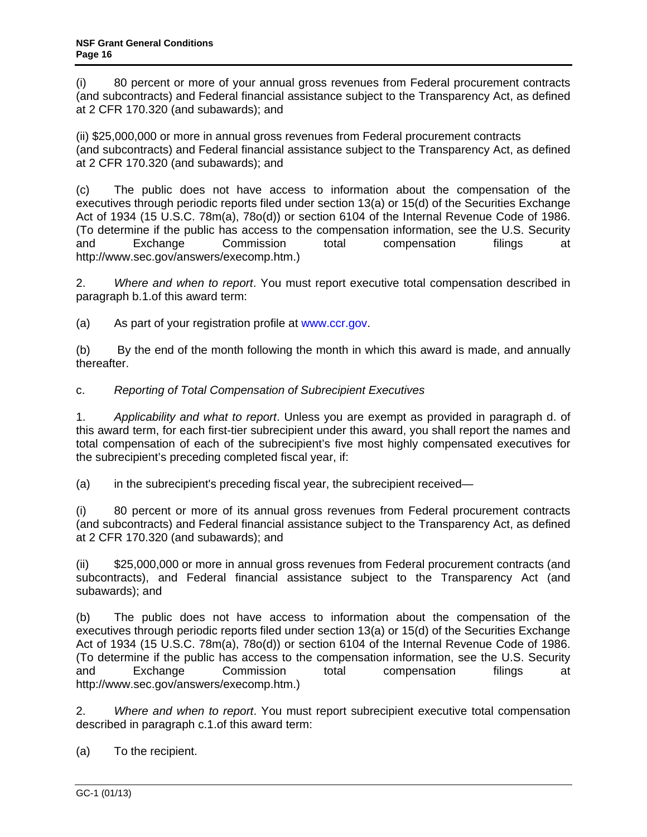(i) 80 percent or more of your annual gross revenues from Federal procurement contracts (and subcontracts) and Federal financial assistance subject to the Transparency Act, as defined at 2 CFR 170.320 (and subawards); and

(ii) \$25,000,000 or more in annual gross revenues from Federal procurement contracts (and subcontracts) and Federal financial assistance subject to the Transparency Act, as defined at 2 CFR 170.320 (and subawards); and

(c) The public does not have access to information about the compensation of the executives through periodic reports filed under section 13(a) or 15(d) of the Securities Exchange Act of 1934 (15 U.S.C. 78m(a), 78o(d)) or section 6104 of the Internal Revenue Code of 1986. (To determine if the public has access to the compensation information, see the U.S. Security and Exchange Commission total compensation filings at http://www.sec.gov/answers/execomp.htm.)

2. *Where and when to report*. You must report executive total compensation described in paragraph b.1.of this award term:

(a) As part of your registration profile at www.ccr.gov.

(b) By the end of the month following the month in which this award is made, and annually thereafter.

c. *Reporting of Total Compensation of Subrecipient Executives*

1. *Applicability and what to report*. Unless you are exempt as provided in paragraph d. of this award term, for each first-tier subrecipient under this award, you shall report the names and total compensation of each of the subrecipient's five most highly compensated executives for the subrecipient's preceding completed fiscal year, if:

(a) in the subrecipient's preceding fiscal year, the subrecipient received—

(i) 80 percent or more of its annual gross revenues from Federal procurement contracts (and subcontracts) and Federal financial assistance subject to the Transparency Act, as defined at 2 CFR 170.320 (and subawards); and

(ii) \$25,000,000 or more in annual gross revenues from Federal procurement contracts (and subcontracts), and Federal financial assistance subject to the Transparency Act (and subawards); and

(b) The public does not have access to information about the compensation of the executives through periodic reports filed under section 13(a) or 15(d) of the Securities Exchange Act of 1934 (15 U.S.C. 78m(a), 78o(d)) or section 6104 of the Internal Revenue Code of 1986. (To determine if the public has access to the compensation information, see the U.S. Security and Exchange Commission total compensation filings at http://www.sec.gov/answers/execomp.htm.)

2. *Where and when to report*. You must report subrecipient executive total compensation described in paragraph c.1.of this award term:

(a) To the recipient.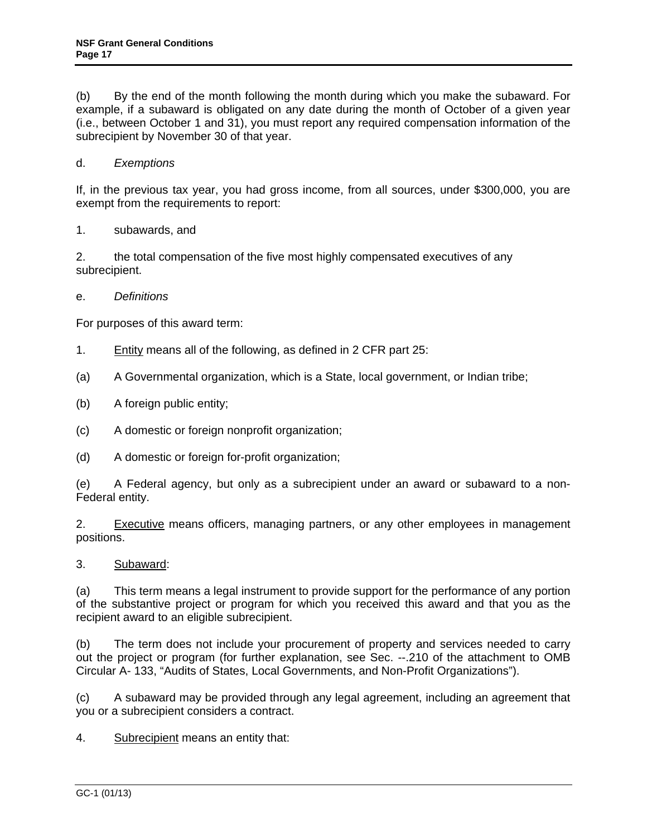(b) By the end of the month following the month during which you make the subaward. For example, if a subaward is obligated on any date during the month of October of a given year (i.e., between October 1 and 31), you must report any required compensation information of the subrecipient by November 30 of that year.

# d. *Exemptions*

If, in the previous tax year, you had gross income, from all sources, under \$300,000, you are exempt from the requirements to report:

1. subawards, and

2. the total compensation of the five most highly compensated executives of any subrecipient.

e. *Definitions* 

For purposes of this award term:

- 1. Entity means all of the following, as defined in 2 CFR part 25:
- (a) A Governmental organization, which is a State, local government, or Indian tribe;
- (b) A foreign public entity;
- (c) A domestic or foreign nonprofit organization;
- (d) A domestic or foreign for-profit organization;

(e) A Federal agency, but only as a subrecipient under an award or subaward to a non-Federal entity.

2. Executive means officers, managing partners, or any other employees in management positions.

3. Subaward:

(a) This term means a legal instrument to provide support for the performance of any portion of the substantive project or program for which you received this award and that you as the recipient award to an eligible subrecipient.

(b) The term does not include your procurement of property and services needed to carry out the project or program (for further explanation, see Sec. --.210 of the attachment to OMB Circular A- 133, "Audits of States, Local Governments, and Non-Profit Organizations").

(c) A subaward may be provided through any legal agreement, including an agreement that you or a subrecipient considers a contract.

4. Subrecipient means an entity that: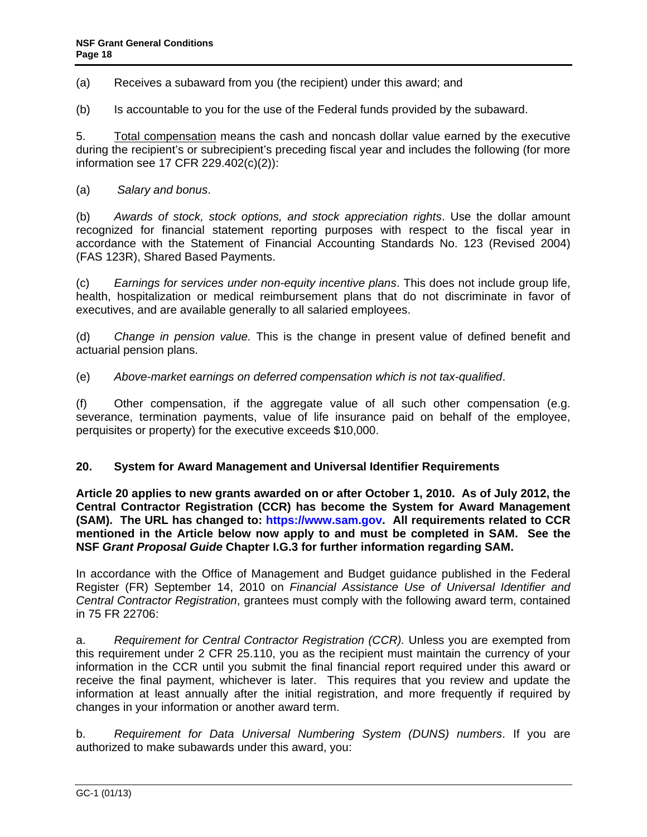<span id="page-17-0"></span>(a) Receives a subaward from you (the recipient) under this award; and

(b) Is accountable to you for the use of the Federal funds provided by the subaward.

5. Total compensation means the cash and noncash dollar value earned by the executive during the recipient's or subrecipient's preceding fiscal year and includes the following (for more information see 17 CFR 229.402(c)(2)):

### (a) *Salary and bonus*.

(b) *Awards of stock, stock options, and stock appreciation rights*. Use the dollar amount recognized for financial statement reporting purposes with respect to the fiscal year in accordance with the Statement of Financial Accounting Standards No. 123 (Revised 2004) (FAS 123R), Shared Based Payments.

(c) *Earnings for services under non-equity incentive plans*. This does not include group life, health, hospitalization or medical reimbursement plans that do not discriminate in favor of executives, and are available generally to all salaried employees.

(d) *Change in pension value.* This is the change in present value of defined benefit and actuarial pension plans.

(e) *Above-market earnings on deferred compensation which is not tax-qualified*.

(f) Other compensation, if the aggregate value of all such other compensation (e.g. severance, termination payments, value of life insurance paid on behalf of the employee, perquisites or property) for the executive exceeds \$10,000.

### **20. System for Award Management and Universal Identifier Requirements**

**Article 20 applies to new grants awarded on or after October 1, 2010. As of July 2012, the Central Contractor Registration (CCR) has become the System for Award Management (SAM). The URL has changed to: https://www.sam.gov. All requirements related to CCR mentioned in the Article below now apply to and must be completed in SAM. See the NSF** *Grant Proposal Guide* **Chapter I.G.3 for further information regarding SAM.** 

In accordance with the Office of Management and Budget guidance published in the Federal Register (FR) September 14, 2010 on *Financial Assistance Use of Universal Identifier and Central Contractor Registration*, grantees must comply with the following award term, contained in 75 FR 22706:

a. *Requirement for Central Contractor Registration (CCR).* Unless you are exempted from this requirement under 2 CFR 25.110, you as the recipient must maintain the currency of your information in the CCR until you submit the final financial report required under this award or receive the final payment, whichever is later. This requires that you review and update the information at least annually after the initial registration, and more frequently if required by changes in your information or another award term.

b. *Requirement for Data Universal Numbering System (DUNS) numbers*. If you are authorized to make subawards under this award, you: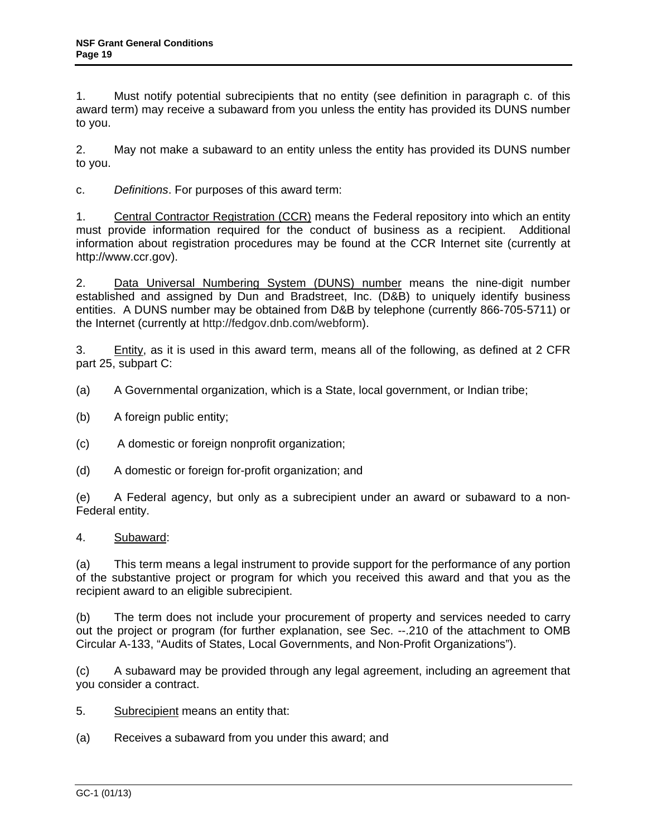1. Must notify potential subrecipients that no entity (see definition in paragraph c. of this award term) may receive a subaward from you unless the entity has provided its DUNS number to you.

2. May not make a subaward to an entity unless the entity has provided its DUNS number to you.

c. *Definitions*. For purposes of this award term:

1. Central Contractor Registration (CCR) means the Federal repository into which an entity must provide information required for the conduct of business as a recipient. Additional information about registration procedures may be found at the CCR Internet site (currently at http://www.ccr.gov).

2. Data Universal Numbering System (DUNS) number means the nine-digit number established and assigned by Dun and Bradstreet, Inc. (D&B) to uniquely identify business entities. A DUNS number may be obtained from D&B by telephone (currently 866-705-5711) or the Internet (currently at http://fedgov.dnb.com/webform).

3. Entity, as it is used in this award term, means all of the following, as defined at 2 CFR part 25, subpart C:

(a) A Governmental organization, which is a State, local government, or Indian tribe;

(b) A foreign public entity;

- (c) A domestic or foreign nonprofit organization;
- (d) A domestic or foreign for-profit organization; and

(e) A Federal agency, but only as a subrecipient under an award or subaward to a non-Federal entity.

# 4. Subaward:

(a) This term means a legal instrument to provide support for the performance of any portion of the substantive project or program for which you received this award and that you as the recipient award to an eligible subrecipient.

(b) The term does not include your procurement of property and services needed to carry out the project or program (for further explanation, see Sec. --.210 of the attachment to OMB Circular A-133, "Audits of States, Local Governments, and Non-Profit Organizations").

(c) A subaward may be provided through any legal agreement, including an agreement that you consider a contract.

5. Subrecipient means an entity that:

(a) Receives a subaward from you under this award; and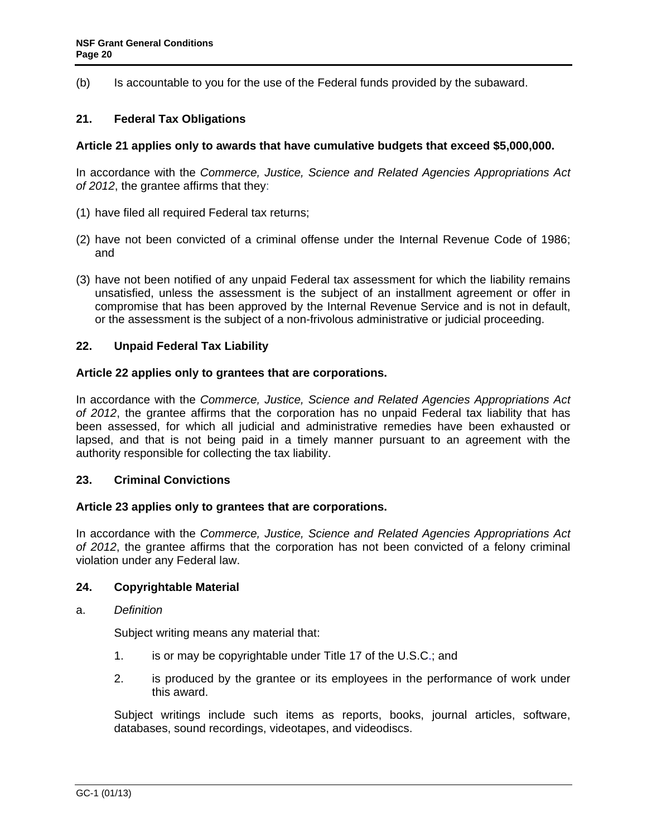<span id="page-19-0"></span>(b) Is accountable to you for the use of the Federal funds provided by the subaward.

# **21. Federal Tax Obligations**

### **Article 21 applies only to awards that have cumulative budgets that exceed \$5,000,000.**

In accordance with the *Commerce, Justice, Science and Related Agencies Appropriations Act of 2012*, the grantee affirms that they:

- (1) have filed all required Federal tax returns;
- (2) have not been convicted of a criminal offense under the Internal Revenue Code of 1986; and
- (3) have not been notified of any unpaid Federal tax assessment for which the liability remains unsatisfied, unless the assessment is the subject of an installment agreement or offer in compromise that has been approved by the Internal Revenue Service and is not in default, or the assessment is the subject of a non-frivolous administrative or judicial proceeding.

### **22. Unpaid Federal Tax Liability**

### **Article 22 applies only to grantees that are corporations.**

In accordance with the *Commerce, Justice, Science and Related Agencies Appropriations Act of 2012*, the grantee affirms that the corporation has no unpaid Federal tax liability that has been assessed, for which all judicial and administrative remedies have been exhausted or lapsed, and that is not being paid in a timely manner pursuant to an agreement with the authority responsible for collecting the tax liability.

### **23. Criminal Convictions**

### **Article 23 applies only to grantees that are corporations.**

In accordance with the *Commerce, Justice, Science and Related Agencies Appropriations Act of 2012*, the grantee affirms that the corporation has not been convicted of a felony criminal violation under any Federal law.

### **24. Copyrightable Material**

a. *Definition*

Subject writing means any material that:

- 1. is or may be copyrightable under Title 17 of the U.S.C.; and
- 2. is produced by the grantee or its employees in the performance of work under this award.

 Subject writings include such items as reports, books, journal articles, software, databases, sound recordings, videotapes, and videodiscs.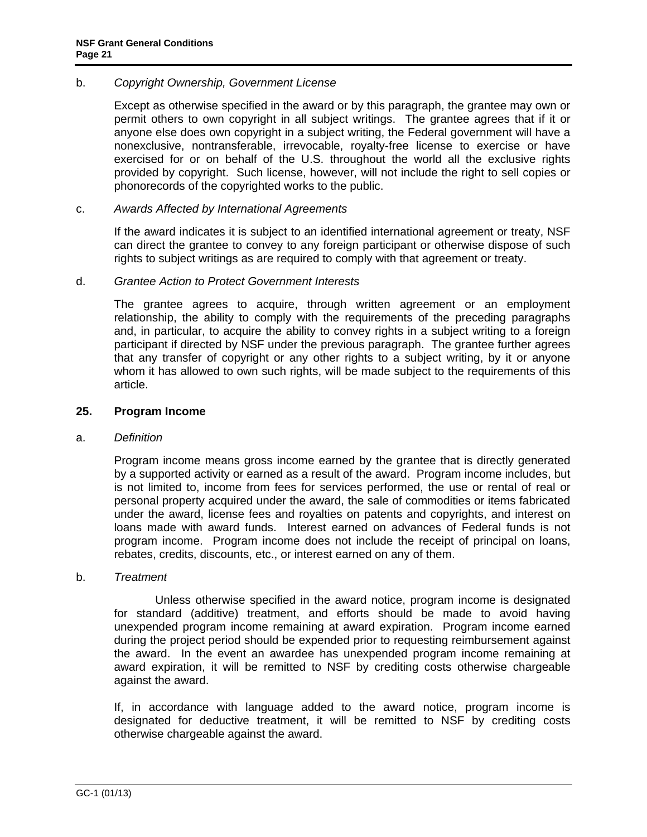### <span id="page-20-0"></span>b. *Copyright Ownership, Government License*

 Except as otherwise specified in the award or by this paragraph, the grantee may own or permit others to own copyright in all subject writings. The grantee agrees that if it or anyone else does own copyright in a subject writing, the Federal government will have a nonexclusive, nontransferable, irrevocable, royalty-free license to exercise or have exercised for or on behalf of the U.S. throughout the world all the exclusive rights provided by copyright. Such license, however, will not include the right to sell copies or phonorecords of the copyrighted works to the public.

#### c. *Awards Affected by International Agreements*

 If the award indicates it is subject to an identified international agreement or treaty, NSF can direct the grantee to convey to any foreign participant or otherwise dispose of such rights to subject writings as are required to comply with that agreement or treaty.

#### d. *Grantee Action to Protect Government Interests*

 The grantee agrees to acquire, through written agreement or an employment relationship, the ability to comply with the requirements of the preceding paragraphs and, in particular, to acquire the ability to convey rights in a subject writing to a foreign participant if directed by NSF under the previous paragraph. The grantee further agrees that any transfer of copyright or any other rights to a subject writing, by it or anyone whom it has allowed to own such rights, will be made subject to the requirements of this article.

#### **25. Program Income**

#### a. *Definition*

 Program income means gross income earned by the grantee that is directly generated by a supported activity or earned as a result of the award. Program income includes, but is not limited to, income from fees for services performed, the use or rental of real or personal property acquired under the award, the sale of commodities or items fabricated under the award, license fees and royalties on patents and copyrights, and interest on loans made with award funds. Interest earned on advances of Federal funds is not program income. Program income does not include the receipt of principal on loans, rebates, credits, discounts, etc., or interest earned on any of them.

#### b. *Treatment*

 Unless otherwise specified in the award notice, program income is designated for standard (additive) treatment, and efforts should be made to avoid having unexpended program income remaining at award expiration. Program income earned during the project period should be expended prior to requesting reimbursement against the award. In the event an awardee has unexpended program income remaining at award expiration, it will be remitted to NSF by crediting costs otherwise chargeable against the award.

If, in accordance with language added to the award notice, program income is designated for deductive treatment, it will be remitted to NSF by crediting costs otherwise chargeable against the award.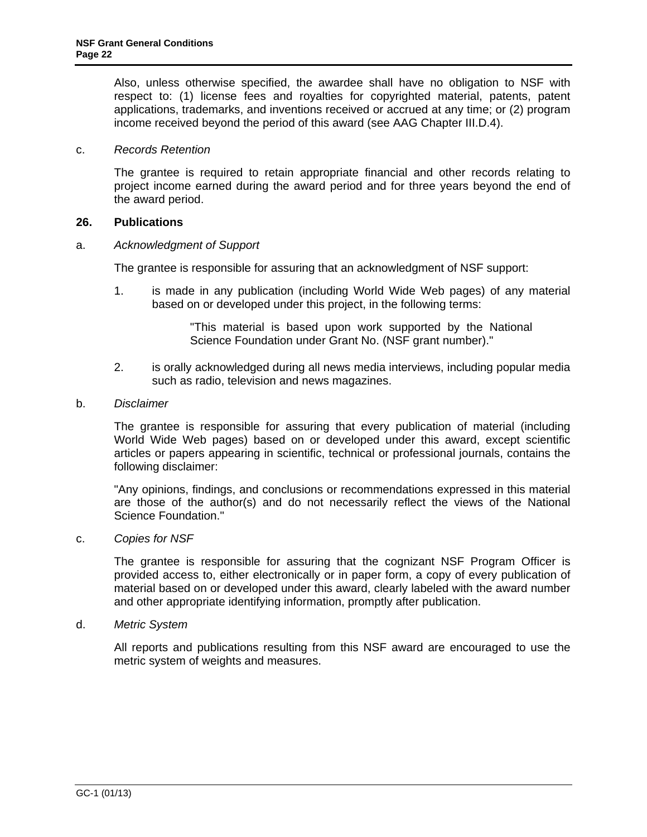<span id="page-21-0"></span>Also, unless otherwise specified, the awardee shall have no obligation to NSF with respect to: (1) license fees and royalties for copyrighted material, patents, patent applications, trademarks, and inventions received or accrued at any time; or (2) program income received beyond the period of this award (see AAG Chapter III.D.4).

### c. *Records Retention*

The grantee is required to retain appropriate financial and other records relating to project income earned during the award period and for three years beyond the end of the award period.

### **26. Publications**

### a. *Acknowledgment of Support*

The grantee is responsible for assuring that an acknowledgment of NSF support:

1. is made in any publication (including World Wide Web pages) of any material based on or developed under this project, in the following terms:

> "This material is based upon work supported by the National Science Foundation under Grant No. (NSF grant number)."

2. is orally acknowledged during all news media interviews, including popular media such as radio, television and news magazines.

### b. *Disclaimer*

 The grantee is responsible for assuring that every publication of material (including World Wide Web pages) based on or developed under this award, except scientific articles or papers appearing in scientific, technical or professional journals, contains the following disclaimer:

 "Any opinions, findings, and conclusions or recommendations expressed in this material are those of the author(s) and do not necessarily reflect the views of the National Science Foundation."

#### c. *Copies for NSF*

 The grantee is responsible for assuring that the cognizant NSF Program Officer is provided access to, either electronically or in paper form, a copy of every publication of material based on or developed under this award, clearly labeled with the award number and other appropriate identifying information, promptly after publication.

d. *Metric System*

 All reports and publications resulting from this NSF award are encouraged to use the metric system of weights and measures.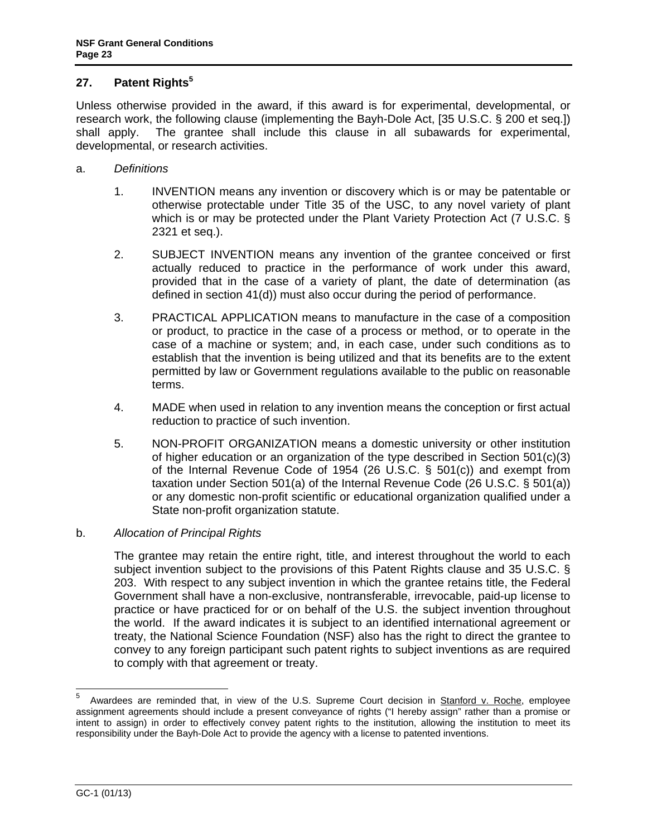# <span id="page-22-0"></span>**27. Patent Rights<sup>5</sup>**

Unless otherwise provided in the award, if this award is for experimental, developmental, or research work, the following clause (implementing the Bayh-Dole Act, [35 U.S.C. § 200 et seq.]) shall apply. The grantee shall include this clause in all subawards for experimental, developmental, or research activities.

- a. *Definitions*
	- 1. INVENTION means any invention or discovery which is or may be patentable or otherwise protectable under Title 35 of the USC, to any novel variety of plant which is or may be protected under the Plant Variety Protection Act (7 U.S.C. § 2321 et seq.).
	- 2. SUBJECT INVENTION means any invention of the grantee conceived or first actually reduced to practice in the performance of work under this award, provided that in the case of a variety of plant, the date of determination (as defined in section 41(d)) must also occur during the period of performance.
	- 3. PRACTICAL APPLICATION means to manufacture in the case of a composition or product, to practice in the case of a process or method, or to operate in the case of a machine or system; and, in each case, under such conditions as to establish that the invention is being utilized and that its benefits are to the extent permitted by law or Government regulations available to the public on reasonable terms.
	- 4. MADE when used in relation to any invention means the conception or first actual reduction to practice of such invention.
	- 5. NON-PROFIT ORGANIZATION means a domestic university or other institution of higher education or an organization of the type described in Section 501(c)(3) of the Internal Revenue Code of 1954 (26 U.S.C. § 501(c)) and exempt from taxation under Section 501(a) of the Internal Revenue Code (26 U.S.C. § 501(a)) or any domestic non-profit scientific or educational organization qualified under a State non-profit organization statute.

# b. *Allocation of Principal Rights*

 The grantee may retain the entire right, title, and interest throughout the world to each subject invention subject to the provisions of this Patent Rights clause and 35 U.S.C. § 203. With respect to any subject invention in which the grantee retains title, the Federal Government shall have a non-exclusive, nontransferable, irrevocable, paid-up license to practice or have practiced for or on behalf of the U.S. the subject invention throughout the world. If the award indicates it is subject to an identified international agreement or treaty, the National Science Foundation (NSF) also has the right to direct the grantee to convey to any foreign participant such patent rights to subject inventions as are required to comply with that agreement or treaty.

<sup>5</sup> 5 Awardees are reminded that, in view of the U.S. Supreme Court decision in Stanford v. Roche, employee assignment agreements should include a present conveyance of rights ("I hereby assign" rather than a promise or intent to assign) in order to effectively convey patent rights to the institution, allowing the institution to meet its responsibility under the Bayh-Dole Act to provide the agency with a license to patented inventions.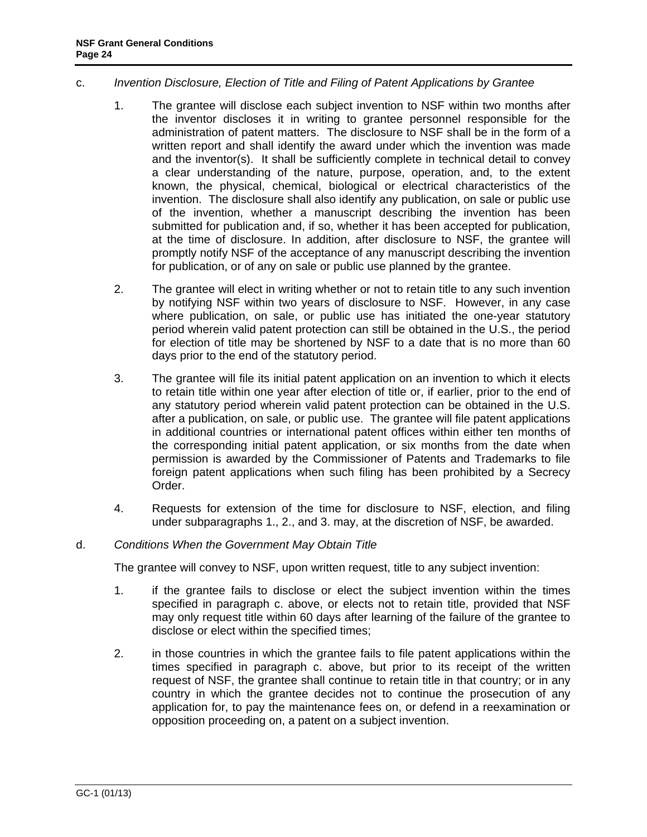### c. *Invention Disclosure, Election of Title and Filing of Patent Applications by Grantee*

- 1. The grantee will disclose each subject invention to NSF within two months after the inventor discloses it in writing to grantee personnel responsible for the administration of patent matters. The disclosure to NSF shall be in the form of a written report and shall identify the award under which the invention was made and the inventor(s). It shall be sufficiently complete in technical detail to convey a clear understanding of the nature, purpose, operation, and, to the extent known, the physical, chemical, biological or electrical characteristics of the invention. The disclosure shall also identify any publication, on sale or public use of the invention, whether a manuscript describing the invention has been submitted for publication and, if so, whether it has been accepted for publication, at the time of disclosure. In addition, after disclosure to NSF, the grantee will promptly notify NSF of the acceptance of any manuscript describing the invention for publication, or of any on sale or public use planned by the grantee.
- 2. The grantee will elect in writing whether or not to retain title to any such invention by notifying NSF within two years of disclosure to NSF. However, in any case where publication, on sale, or public use has initiated the one-year statutory period wherein valid patent protection can still be obtained in the U.S., the period for election of title may be shortened by NSF to a date that is no more than 60 days prior to the end of the statutory period.
- 3. The grantee will file its initial patent application on an invention to which it elects to retain title within one year after election of title or, if earlier, prior to the end of any statutory period wherein valid patent protection can be obtained in the U.S. after a publication, on sale, or public use. The grantee will file patent applications in additional countries or international patent offices within either ten months of the corresponding initial patent application, or six months from the date when permission is awarded by the Commissioner of Patents and Trademarks to file foreign patent applications when such filing has been prohibited by a Secrecy Order.
- 4. Requests for extension of the time for disclosure to NSF, election, and filing under subparagraphs 1., 2., and 3. may, at the discretion of NSF, be awarded.

### d. *Conditions When the Government May Obtain Title*

The grantee will convey to NSF, upon written request, title to any subject invention:

- 1. if the grantee fails to disclose or elect the subject invention within the times specified in paragraph c. above, or elects not to retain title, provided that NSF may only request title within 60 days after learning of the failure of the grantee to disclose or elect within the specified times;
- 2. in those countries in which the grantee fails to file patent applications within the times specified in paragraph c. above, but prior to its receipt of the written request of NSF, the grantee shall continue to retain title in that country; or in any country in which the grantee decides not to continue the prosecution of any application for, to pay the maintenance fees on, or defend in a reexamination or opposition proceeding on, a patent on a subject invention.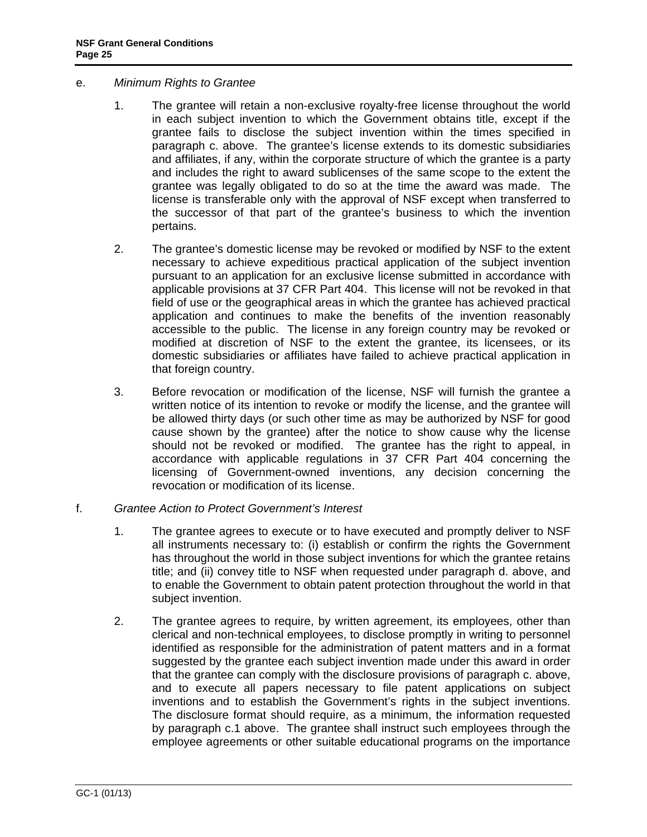- e. *Minimum Rights to Grantee* 
	- 1. The grantee will retain a non-exclusive royalty-free license throughout the world in each subject invention to which the Government obtains title, except if the grantee fails to disclose the subject invention within the times specified in paragraph c. above. The grantee's license extends to its domestic subsidiaries and affiliates, if any, within the corporate structure of which the grantee is a party and includes the right to award sublicenses of the same scope to the extent the grantee was legally obligated to do so at the time the award was made. The license is transferable only with the approval of NSF except when transferred to the successor of that part of the grantee's business to which the invention pertains.
	- 2. The grantee's domestic license may be revoked or modified by NSF to the extent necessary to achieve expeditious practical application of the subject invention pursuant to an application for an exclusive license submitted in accordance with applicable provisions at 37 CFR Part 404. This license will not be revoked in that field of use or the geographical areas in which the grantee has achieved practical application and continues to make the benefits of the invention reasonably accessible to the public. The license in any foreign country may be revoked or modified at discretion of NSF to the extent the grantee, its licensees, or its domestic subsidiaries or affiliates have failed to achieve practical application in that foreign country.
	- 3. Before revocation or modification of the license, NSF will furnish the grantee a written notice of its intention to revoke or modify the license, and the grantee will be allowed thirty days (or such other time as may be authorized by NSF for good cause shown by the grantee) after the notice to show cause why the license should not be revoked or modified. The grantee has the right to appeal, in accordance with applicable regulations in 37 CFR Part 404 concerning the licensing of Government-owned inventions, any decision concerning the revocation or modification of its license.
- f. *Grantee Action to Protect Government's Interest* 
	- 1. The grantee agrees to execute or to have executed and promptly deliver to NSF all instruments necessary to: (i) establish or confirm the rights the Government has throughout the world in those subject inventions for which the grantee retains title; and (ii) convey title to NSF when requested under paragraph d. above, and to enable the Government to obtain patent protection throughout the world in that subject invention.
	- 2. The grantee agrees to require, by written agreement, its employees, other than clerical and non-technical employees, to disclose promptly in writing to personnel identified as responsible for the administration of patent matters and in a format suggested by the grantee each subject invention made under this award in order that the grantee can comply with the disclosure provisions of paragraph c. above, and to execute all papers necessary to file patent applications on subject inventions and to establish the Government's rights in the subject inventions. The disclosure format should require, as a minimum, the information requested by paragraph c.1 above. The grantee shall instruct such employees through the employee agreements or other suitable educational programs on the importance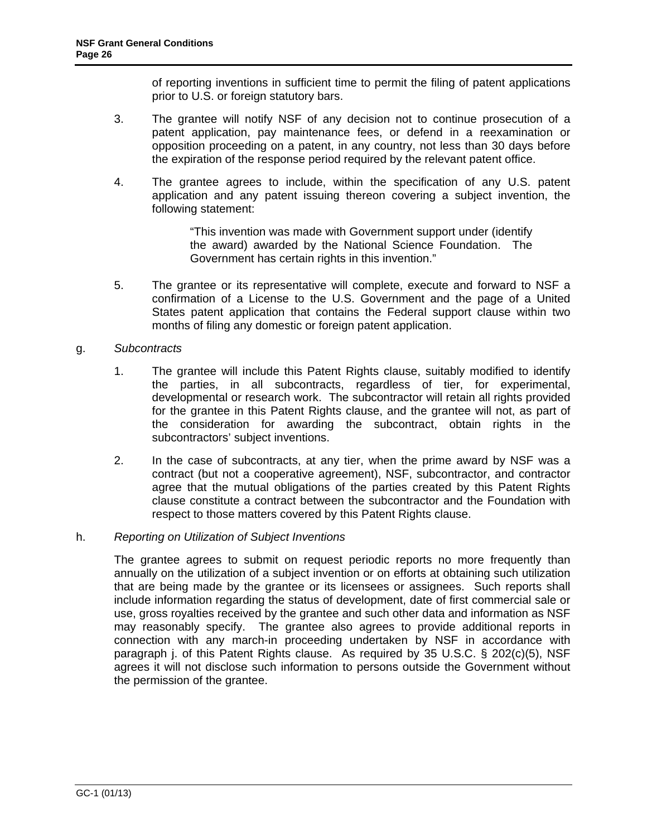of reporting inventions in sufficient time to permit the filing of patent applications prior to U.S. or foreign statutory bars.

- 3. The grantee will notify NSF of any decision not to continue prosecution of a patent application, pay maintenance fees, or defend in a reexamination or opposition proceeding on a patent, in any country, not less than 30 days before the expiration of the response period required by the relevant patent office.
- 4. The grantee agrees to include, within the specification of any U.S. patent application and any patent issuing thereon covering a subject invention, the following statement:

"This invention was made with Government support under (identify the award) awarded by the National Science Foundation. The Government has certain rights in this invention."

5. The grantee or its representative will complete, execute and forward to NSF a confirmation of a License to the U.S. Government and the page of a United States patent application that contains the Federal support clause within two months of filing any domestic or foreign patent application.

# g. *Subcontracts*

- 1. The grantee will include this Patent Rights clause, suitably modified to identify the parties, in all subcontracts, regardless of tier, for experimental, developmental or research work. The subcontractor will retain all rights provided for the grantee in this Patent Rights clause, and the grantee will not, as part of the consideration for awarding the subcontract, obtain rights in the subcontractors' subject inventions.
- 2. In the case of subcontracts, at any tier, when the prime award by NSF was a contract (but not a cooperative agreement), NSF, subcontractor, and contractor agree that the mutual obligations of the parties created by this Patent Rights clause constitute a contract between the subcontractor and the Foundation with respect to those matters covered by this Patent Rights clause.

### h. *Reporting on Utilization of Subject Inventions*

 The grantee agrees to submit on request periodic reports no more frequently than annually on the utilization of a subject invention or on efforts at obtaining such utilization that are being made by the grantee or its licensees or assignees. Such reports shall include information regarding the status of development, date of first commercial sale or use, gross royalties received by the grantee and such other data and information as NSF may reasonably specify. The grantee also agrees to provide additional reports in connection with any march-in proceeding undertaken by NSF in accordance with paragraph j. of this Patent Rights clause. As required by 35 U.S.C. § 202(c)(5), NSF agrees it will not disclose such information to persons outside the Government without the permission of the grantee.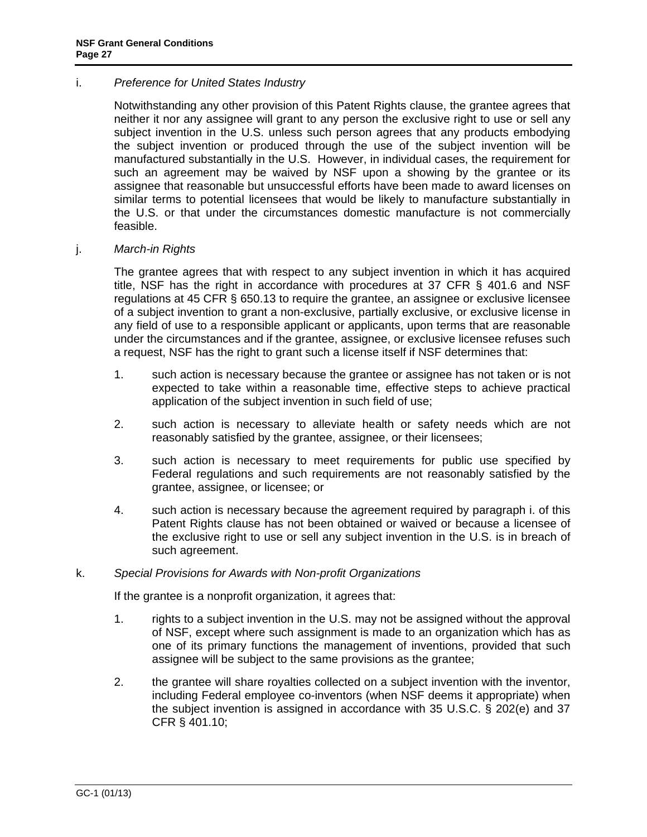### i. *Preference for United States Industry*

 Notwithstanding any other provision of this Patent Rights clause, the grantee agrees that neither it nor any assignee will grant to any person the exclusive right to use or sell any subject invention in the U.S. unless such person agrees that any products embodying the subject invention or produced through the use of the subject invention will be manufactured substantially in the U.S. However, in individual cases, the requirement for such an agreement may be waived by NSF upon a showing by the grantee or its assignee that reasonable but unsuccessful efforts have been made to award licenses on similar terms to potential licensees that would be likely to manufacture substantially in the U.S. or that under the circumstances domestic manufacture is not commercially feasible.

### j. *March-in Rights*

 The grantee agrees that with respect to any subject invention in which it has acquired title, NSF has the right in accordance with procedures at 37 CFR § 401.6 and NSF regulations at 45 CFR § 650.13 to require the grantee, an assignee or exclusive licensee of a subject invention to grant a non-exclusive, partially exclusive, or exclusive license in any field of use to a responsible applicant or applicants, upon terms that are reasonable under the circumstances and if the grantee, assignee, or exclusive licensee refuses such a request, NSF has the right to grant such a license itself if NSF determines that:

- 1. such action is necessary because the grantee or assignee has not taken or is not expected to take within a reasonable time, effective steps to achieve practical application of the subject invention in such field of use;
- 2. such action is necessary to alleviate health or safety needs which are not reasonably satisfied by the grantee, assignee, or their licensees;
- 3. such action is necessary to meet requirements for public use specified by Federal regulations and such requirements are not reasonably satisfied by the grantee, assignee, or licensee; or
- 4. such action is necessary because the agreement required by paragraph i. of this Patent Rights clause has not been obtained or waived or because a licensee of the exclusive right to use or sell any subject invention in the U.S. is in breach of such agreement.

### k. *Special Provisions for Awards with Non-profit Organizations*

If the grantee is a nonprofit organization, it agrees that:

- 1. rights to a subject invention in the U.S. may not be assigned without the approval of NSF, except where such assignment is made to an organization which has as one of its primary functions the management of inventions, provided that such assignee will be subject to the same provisions as the grantee;
- 2. the grantee will share royalties collected on a subject invention with the inventor, including Federal employee co-inventors (when NSF deems it appropriate) when the subject invention is assigned in accordance with 35 U.S.C. § 202(e) and 37 CFR § 401.10;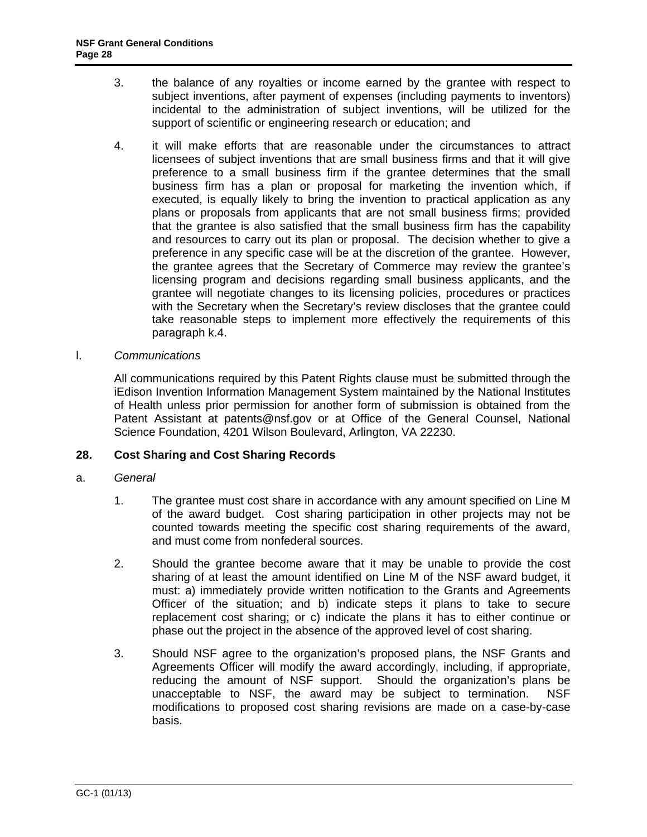- <span id="page-27-0"></span>3. the balance of any royalties or income earned by the grantee with respect to subject inventions, after payment of expenses (including payments to inventors) incidental to the administration of subject inventions, will be utilized for the support of scientific or engineering research or education; and
- 4. it will make efforts that are reasonable under the circumstances to attract licensees of subject inventions that are small business firms and that it will give preference to a small business firm if the grantee determines that the small business firm has a plan or proposal for marketing the invention which, if executed, is equally likely to bring the invention to practical application as any plans or proposals from applicants that are not small business firms; provided that the grantee is also satisfied that the small business firm has the capability and resources to carry out its plan or proposal. The decision whether to give a preference in any specific case will be at the discretion of the grantee. However, the grantee agrees that the Secretary of Commerce may review the grantee's licensing program and decisions regarding small business applicants, and the grantee will negotiate changes to its licensing policies, procedures or practices with the Secretary when the Secretary's review discloses that the grantee could take reasonable steps to implement more effectively the requirements of this paragraph k.4.
- l. *Communications*

 All communications required by this Patent Rights clause must be submitted through the iEdison Invention Information Management System maintained by the National Institutes of Health unless prior permission for another form of submission is obtained from the Patent Assistant at patents@nsf.gov or at Office of the General Counsel, National Science Foundation, 4201 Wilson Boulevard, Arlington, VA 22230.

### **28. Cost Sharing and Cost Sharing Records**

- a. *General*
	- 1. The grantee must cost share in accordance with any amount specified on Line M of the award budget. Cost sharing participation in other projects may not be counted towards meeting the specific cost sharing requirements of the award, and must come from nonfederal sources.
	- 2. Should the grantee become aware that it may be unable to provide the cost sharing of at least the amount identified on Line M of the NSF award budget, it must: a) immediately provide written notification to the Grants and Agreements Officer of the situation; and b) indicate steps it plans to take to secure replacement cost sharing; or c) indicate the plans it has to either continue or phase out the project in the absence of the approved level of cost sharing.
	- 3. Should NSF agree to the organization's proposed plans, the NSF Grants and Agreements Officer will modify the award accordingly, including, if appropriate, reducing the amount of NSF support. Should the organization's plans be unacceptable to NSF, the award may be subject to termination. NSF modifications to proposed cost sharing revisions are made on a case-by-case basis.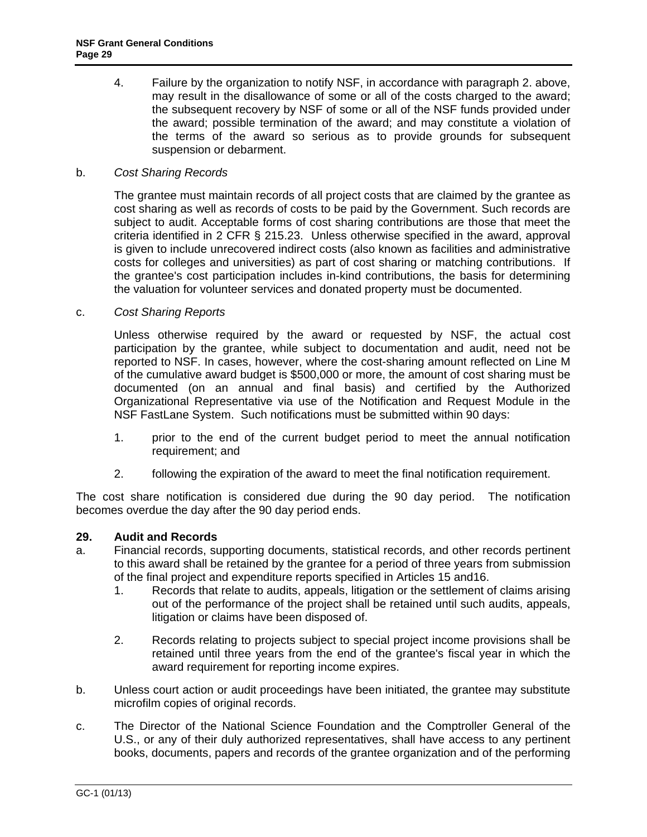<span id="page-28-0"></span>4. Failure by the organization to notify NSF, in accordance with paragraph 2. above, may result in the disallowance of some or all of the costs charged to the award; the subsequent recovery by NSF of some or all of the NSF funds provided under the award; possible termination of the award; and may constitute a violation of the terms of the award so serious as to provide grounds for subsequent suspension or debarment.

### b. *Cost Sharing Records*

 The grantee must maintain records of all project costs that are claimed by the grantee as cost sharing as well as records of costs to be paid by the Government. Such records are subject to audit. Acceptable forms of cost sharing contributions are those that meet the criteria identified in 2 CFR § 215.23. Unless otherwise specified in the award, approval is given to include unrecovered indirect costs (also known as facilities and administrative costs for colleges and universities) as part of cost sharing or matching contributions. If the grantee's cost participation includes in-kind contributions, the basis for determining the valuation for volunteer services and donated property must be documented.

### c. *Cost Sharing Reports*

 Unless otherwise required by the award or requested by NSF, the actual cost participation by the grantee, while subject to documentation and audit, need not be reported to NSF. In cases, however, where the cost-sharing amount reflected on Line M of the cumulative award budget is \$500,000 or more, the amount of cost sharing must be documented (on an annual and final basis) and certified by the Authorized Organizational Representative via use of the Notification and Request Module in the NSF FastLane System. Such notifications must be submitted within 90 days:

- 1. prior to the end of the current budget period to meet the annual notification requirement; and
- 2. following the expiration of the award to meet the final notification requirement.

The cost share notification is considered due during the 90 day period. The notification becomes overdue the day after the 90 day period ends.

# **29. Audit and Records**

- a. Financial records, supporting documents, statistical records, and other records pertinent to this award shall be retained by the grantee for a period of three years from submission of the final project and expenditure reports specified in Articles 15 and16.
	- 1. Records that relate to audits, appeals, litigation or the settlement of claims arising out of the performance of the project shall be retained until such audits, appeals, litigation or claims have been disposed of.
	- 2. Records relating to projects subject to special project income provisions shall be retained until three years from the end of the grantee's fiscal year in which the award requirement for reporting income expires.
- b. Unless court action or audit proceedings have been initiated, the grantee may substitute microfilm copies of original records.
- c. The Director of the National Science Foundation and the Comptroller General of the U.S., or any of their duly authorized representatives, shall have access to any pertinent books, documents, papers and records of the grantee organization and of the performing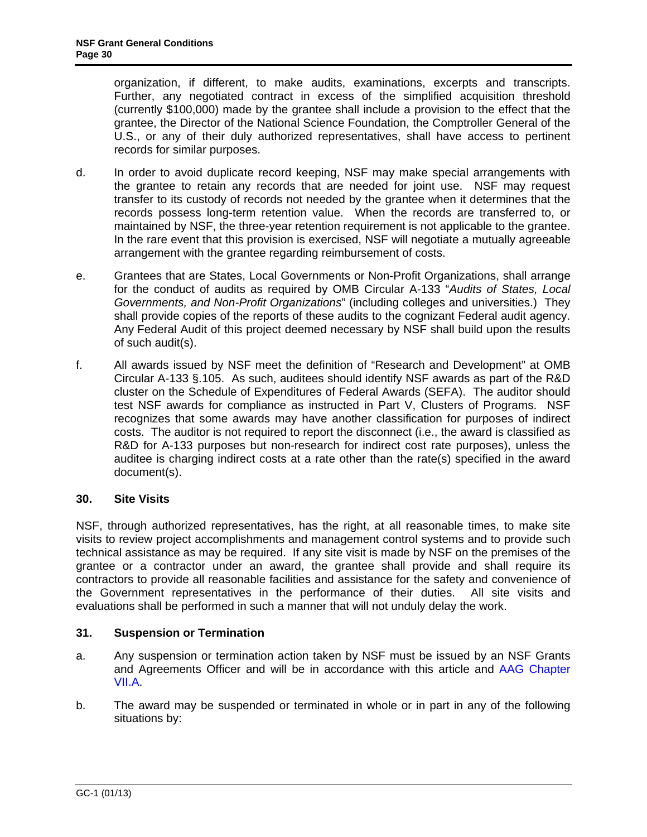<span id="page-29-0"></span>organization, if different, to make audits, examinations, excerpts and transcripts. Further, any negotiated contract in excess of the simplified acquisition threshold (currently \$100,000) made by the grantee shall include a provision to the effect that the grantee, the Director of the National Science Foundation, the Comptroller General of the U.S., or any of their duly authorized representatives, shall have access to pertinent records for similar purposes.

- d. In order to avoid duplicate record keeping, NSF may make special arrangements with the grantee to retain any records that are needed for joint use. NSF may request transfer to its custody of records not needed by the grantee when it determines that the records possess long-term retention value. When the records are transferred to, or maintained by NSF, the three-year retention requirement is not applicable to the grantee. In the rare event that this provision is exercised, NSF will negotiate a mutually agreeable arrangement with the grantee regarding reimbursement of costs.
- e. Grantees that are States, Local Governments or Non-Profit Organizations, shall arrange for the conduct of audits as required by OMB Circular A-133 "*Audits of States, Local Governments, and Non-Profit Organizations*" (including colleges and universities.) They shall provide copies of the reports of these audits to the cognizant Federal audit agency. Any Federal Audit of this project deemed necessary by NSF shall build upon the results of such audit(s).
- f. All awards issued by NSF meet the definition of "Research and Development" at OMB Circular A-133 §.105. As such, auditees should identify NSF awards as part of the R&D cluster on the Schedule of Expenditures of Federal Awards (SEFA). The auditor should test NSF awards for compliance as instructed in Part V, Clusters of Programs. NSF recognizes that some awards may have another classification for purposes of indirect costs. The auditor is not required to report the disconnect (i.e., the award is classified as R&D for A-133 purposes but non-research for indirect cost rate purposes), unless the auditee is charging indirect costs at a rate other than the rate(s) specified in the award document(s).

# **30. Site Visits**

NSF, through authorized representatives, has the right, at all reasonable times, to make site visits to review project accomplishments and management control systems and to provide such technical assistance as may be required. If any site visit is made by NSF on the premises of the grantee or a contractor under an award, the grantee shall provide and shall require its contractors to provide all reasonable facilities and assistance for the safety and convenience of the Government representatives in the performance of their duties. All site visits and evaluations shall be performed in such a manner that will not unduly delay the work.

# **31. Suspension or Termination**

- a. Any suspension or termination action taken by NSF must be issued by an NSF Grants and Agreements Officer and will be in accordance with this article and [AAG Chapter](http://www.nsf.gov/pubs/policydocs/pappguide/nsf13001/aag_7.jsp#VIIA)  [VII.A.](http://www.nsf.gov/pubs/policydocs/pappguide/nsf13001/aag_7.jsp#VIIA)
- b. The award may be suspended or terminated in whole or in part in any of the following situations by: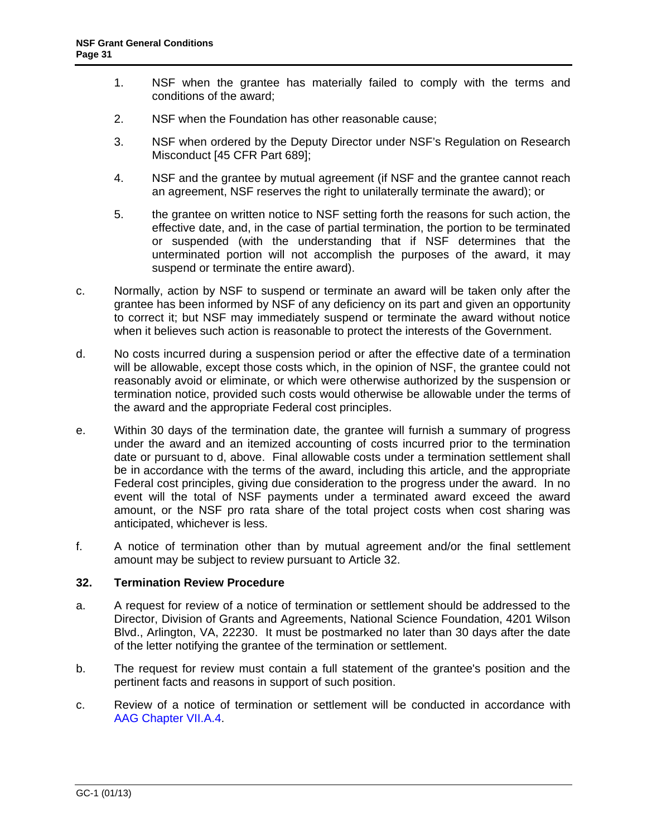- <span id="page-30-0"></span>1. NSF when the grantee has materially failed to comply with the terms and conditions of the award;
- 2. NSF when the Foundation has other reasonable cause;
- 3. NSF when ordered by the Deputy Director under NSF's Regulation on Research Misconduct [45 CFR Part 689];
- 4. NSF and the grantee by mutual agreement (if NSF and the grantee cannot reach an agreement, NSF reserves the right to unilaterally terminate the award); or
- 5. the grantee on written notice to NSF setting forth the reasons for such action, the effective date, and, in the case of partial termination, the portion to be terminated or suspended (with the understanding that if NSF determines that the unterminated portion will not accomplish the purposes of the award, it may suspend or terminate the entire award).
- c. Normally, action by NSF to suspend or terminate an award will be taken only after the grantee has been informed by NSF of any deficiency on its part and given an opportunity to correct it; but NSF may immediately suspend or terminate the award without notice when it believes such action is reasonable to protect the interests of the Government.
- d. No costs incurred during a suspension period or after the effective date of a termination will be allowable, except those costs which, in the opinion of NSF, the grantee could not reasonably avoid or eliminate, or which were otherwise authorized by the suspension or termination notice, provided such costs would otherwise be allowable under the terms of the award and the appropriate Federal cost principles.
- e. Within 30 days of the termination date, the grantee will furnish a summary of progress under the award and an itemized accounting of costs incurred prior to the termination date or pursuant to d, above. Final allowable costs under a termination settlement shall be in accordance with the terms of the award, including this article, and the appropriate Federal cost principles, giving due consideration to the progress under the award. In no event will the total of NSF payments under a terminated award exceed the award amount, or the NSF pro rata share of the total project costs when cost sharing was anticipated, whichever is less.
- f. A notice of termination other than by mutual agreement and/or the final settlement amount may be subject to review pursuant to Article 32.

### **32. Termination Review Procedure**

- a. A request for review of a notice of termination or settlement should be addressed to the Director, Division of Grants and Agreements, National Science Foundation, 4201 Wilson Blvd., Arlington, VA, 22230. It must be postmarked no later than 30 days after the date of the letter notifying the grantee of the termination or settlement.
- b. The request for review must contain a full statement of the grantee's position and the pertinent facts and reasons in support of such position.
- c. Review of a notice of termination or settlement will be conducted in accordance with [AAG Chapter VII.A.4.](http://www.nsf.gov/pubs/policydocs/pappguide/nsf13001/aag_7.jsp#VIIA4)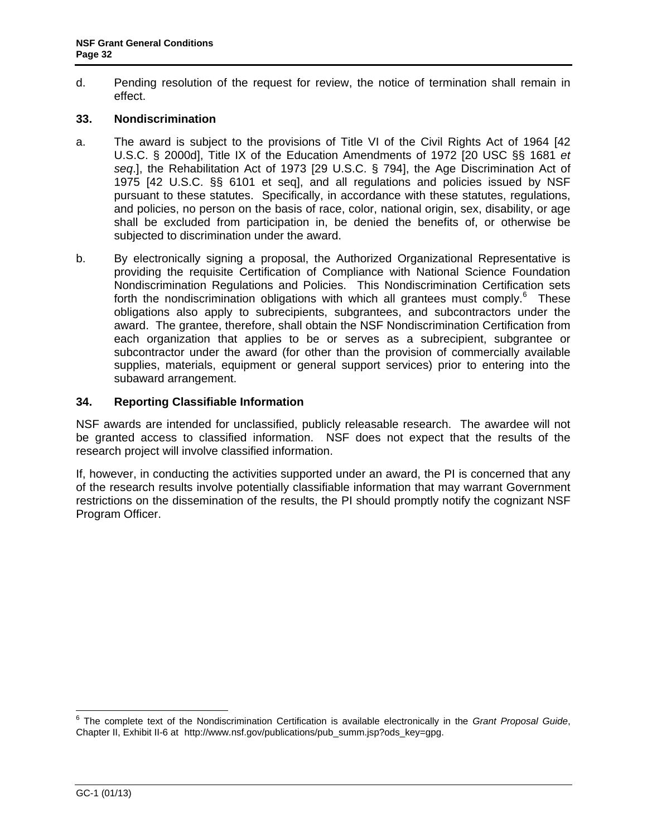<span id="page-31-0"></span>d. Pending resolution of the request for review, the notice of termination shall remain in effect.

# **33. Nondiscrimination**

- a. The award is subject to the provisions of Title VI of the Civil Rights Act of 1964 [42 U.S.C. § 2000d], Title IX of the Education Amendments of 1972 [20 USC §§ 1681 *et seq*.], the Rehabilitation Act of 1973 [29 U.S.C. § 794], the Age Discrimination Act of 1975 [42 U.S.C. §§ 6101 et seq], and all regulations and policies issued by NSF pursuant to these statutes. Specifically, in accordance with these statutes, regulations, and policies, no person on the basis of race, color, national origin, sex, disability, or age shall be excluded from participation in, be denied the benefits of, or otherwise be subjected to discrimination under the award.
- b. By electronically signing a proposal, the Authorized Organizational Representative is providing the requisite Certification of Compliance with National Science Foundation Nondiscrimination Regulations and Policies. This Nondiscrimination Certification sets forth the nondiscrimination obligations with which all grantees must comply. $6$  These obligations also apply to subrecipients, subgrantees, and subcontractors under the award. The grantee, therefore, shall obtain the NSF Nondiscrimination Certification from each organization that applies to be or serves as a subrecipient, subgrantee or subcontractor under the award (for other than the provision of commercially available supplies, materials, equipment or general support services) prior to entering into the subaward arrangement.

### **34. Reporting Classifiable Information**

NSF awards are intended for unclassified, publicly releasable research. The awardee will not be granted access to classified information. NSF does not expect that the results of the research project will involve classified information.

If, however, in conducting the activities supported under an award, the PI is concerned that any of the research results involve potentially classifiable information that may warrant Government restrictions on the dissemination of the results, the PI should promptly notify the cognizant NSF Program Officer.

 6 The complete text of the Nondiscrimination Certification is available electronically in the *Grant Proposal Guide*, Chapter II, Exhibit II-6 at http://www.nsf.gov/publications/pub\_summ.jsp?ods\_key=gpg.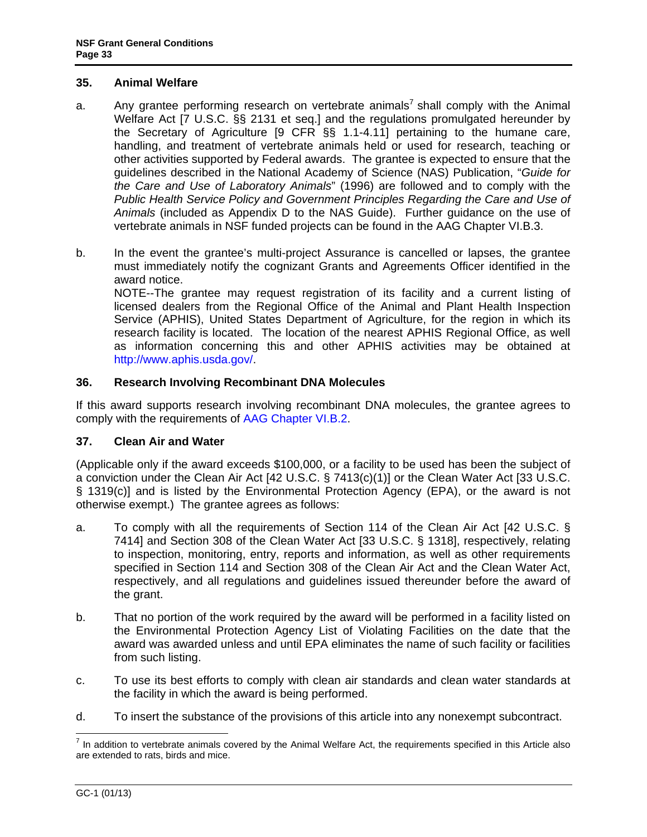# <span id="page-32-0"></span>**35. Animal Welfare**

- a. Any grantee performing research on vertebrate animals<sup>7</sup> shall comply with the Animal Welfare Act [7 U.S.C. §§ 2131 et seq.] and the regulations promulgated hereunder by the Secretary of Agriculture [9 CFR §§ 1.1-4.11] pertaining to the humane care, handling, and treatment of vertebrate animals held or used for research, teaching or other activities supported by Federal awards. The grantee is expected to ensure that the guidelines described in the National Academy of Science (NAS) Publication, "*Guide for the Care and Use of Laboratory Animals*" (1996) are followed and to comply with the *Public Health Service Policy and Government Principles Regarding the Care and Use of Animals* (included as Appendix D to the NAS Guide). Further guidance on the use of vertebrate animals in NSF funded projects can be found in the AAG Chapter VI.B.3.
- b. In the event the grantee's multi-project Assurance is cancelled or lapses, the grantee must immediately notify the cognizant Grants and Agreements Officer identified in the award notice.

 NOTE--The grantee may request registration of its facility and a current listing of licensed dealers from the Regional Office of the Animal and Plant Health Inspection Service (APHIS), United States Department of Agriculture, for the region in which its research facility is located. The location of the nearest APHIS Regional Office, as well as information concerning this and other APHIS activities may be obtained at http://www.aphis.usda.gov/.

# **36. Research Involving Recombinant DNA Molecules**

If this award supports research involving recombinant DNA molecules, the grantee agrees to comply with the requirements of [AAG Chapter VI.B.2.](http://www.nsf.gov/pubs/policydocs/pappguide/nsf13001/aag_6.jsp#VIB2)

# **37. Clean Air and Water**

(Applicable only if the award exceeds \$100,000, or a facility to be used has been the subject of a conviction under the Clean Air Act [42 U.S.C. § 7413(c)(1)] or the Clean Water Act [33 U.S.C. § 1319(c)] and is listed by the Environmental Protection Agency (EPA), or the award is not otherwise exempt.) The grantee agrees as follows:

- a. To comply with all the requirements of Section 114 of the Clean Air Act [42 U.S.C. § 7414] and Section 308 of the Clean Water Act [33 U.S.C. § 1318], respectively, relating to inspection, monitoring, entry, reports and information, as well as other requirements specified in Section 114 and Section 308 of the Clean Air Act and the Clean Water Act, respectively, and all regulations and guidelines issued thereunder before the award of the grant.
- b. That no portion of the work required by the award will be performed in a facility listed on the Environmental Protection Agency List of Violating Facilities on the date that the award was awarded unless and until EPA eliminates the name of such facility or facilities from such listing.
- c. To use its best efforts to comply with clean air standards and clean water standards at the facility in which the award is being performed.
- d. To insert the substance of the provisions of this article into any nonexempt subcontract.

<sup>&</sup>lt;u>nect</u><br><sup>7</sup> In addition to vertebrate animals covered by the Animal Welfare Act, the requirements specified in this Article also are extended to rats, birds and mice.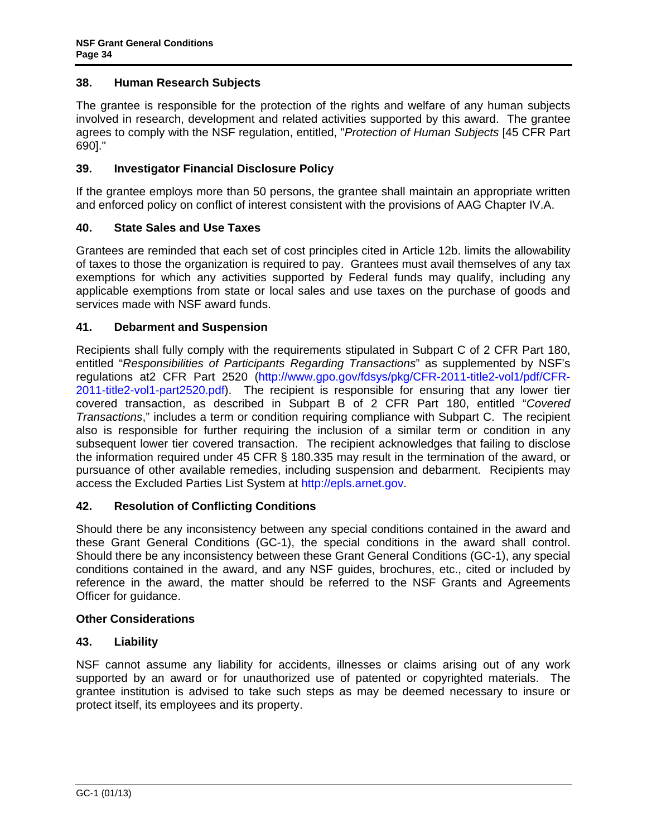# <span id="page-33-0"></span>**38. Human Research Subjects**

The grantee is responsible for the protection of the rights and welfare of any human subjects involved in research, development and related activities supported by this award. The grantee agrees to comply with the NSF regulation, entitled, "*Protection of Human Subjects* [45 CFR Part 690]."

# **39. Investigator Financial Disclosure Policy**

If the grantee employs more than 50 persons, the grantee shall maintain an appropriate written and enforced policy on conflict of interest consistent with the provisions of AAG Chapter IV.A.

# **40. State Sales and Use Taxes**

Grantees are reminded that each set of cost principles cited in Article 12b. limits the allowability of taxes to those the organization is required to pay. Grantees must avail themselves of any tax exemptions for which any activities supported by Federal funds may qualify, including any applicable exemptions from state or local sales and use taxes on the purchase of goods and services made with NSF award funds.

# **41. Debarment and Suspension**

Recipients shall fully comply with the requirements stipulated in Subpart C of 2 CFR Part 180, entitled "*Responsibilities of Participants Regarding Transactions*" as supplemented by NSF's regulations at2 CFR Part 2520 (http://www.gpo.gov/fdsys/pkg/CFR-2011-title2-vol1/pdf/CFR-2011-title2-vol1-part2520.pdf). The recipient is responsible for ensuring that any lower tier covered transaction, as described in Subpart B of 2 CFR Part 180, entitled "*Covered Transactions*," includes a term or condition requiring compliance with Subpart C. The recipient also is responsible for further requiring the inclusion of a similar term or condition in any subsequent lower tier covered transaction. The recipient acknowledges that failing to disclose the information required under 45 CFR § 180.335 may result in the termination of the award, or pursuance of other available remedies, including suspension and debarment. Recipients may access the Excluded Parties List System at http://epls.arnet.gov.

# **42. Resolution of Conflicting Conditions**

Should there be any inconsistency between any special conditions contained in the award and these Grant General Conditions (GC-1), the special conditions in the award shall control. Should there be any inconsistency between these Grant General Conditions (GC-1), any special conditions contained in the award, and any NSF guides, brochures, etc., cited or included by reference in the award, the matter should be referred to the NSF Grants and Agreements Officer for guidance.

### **Other Considerations**

### **43. Liability**

NSF cannot assume any liability for accidents, illnesses or claims arising out of any work supported by an award or for unauthorized use of patented or copyrighted materials. The grantee institution is advised to take such steps as may be deemed necessary to insure or protect itself, its employees and its property.